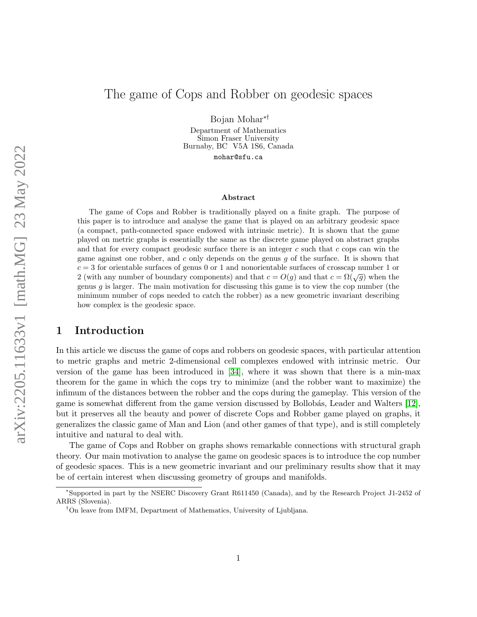# The game of Cops and Robber on geodesic spaces

Bojan Mohar∗†

Department of Mathematics Simon Fraser University Burnaby, BC V5A 1S6, Canada mohar@sfu.ca

### Abstract

The game of Cops and Robber is traditionally played on a finite graph. The purpose of this paper is to introduce and analyse the game that is played on an arbitrary geodesic space (a compact, path-connected space endowed with intrinsic metric). It is shown that the game played on metric graphs is essentially the same as the discrete game played on abstract graphs and that for every compact geodesic surface there is an integer  $c$  such that  $c$  cops can win the game against one robber, and c only depends on the genus  $q$  of the surface. It is shown that  $c = 3$  for orientable surfaces of genus 0 or 1 and nonorientable surfaces of crosscap number 1 or 2 (with any number of boundary components) and that  $c = O(q)$  and that  $c = \Omega(\sqrt{q})$  when the genus g is larger. The main motivation for discussing this game is to view the cop number (the minimum number of cops needed to catch the robber) as a new geometric invariant describing how complex is the geodesic space.

# 1 Introduction

In this article we discuss the game of cops and robbers on geodesic spaces, with particular attention to metric graphs and metric 2-dimensional cell complexes endowed with intrinsic metric. Our version of the game has been introduced in [\[34\]](#page-29-0), where it was shown that there is a min-max theorem for the game in which the cops try to minimize (and the robber want to maximize) the infimum of the distances between the robber and the cops during the gameplay. This version of the game is somewhat different from the game version discussed by Bollobás, Leader and Walters [\[12\]](#page-28-0), but it preserves all the beauty and power of discrete Cops and Robber game played on graphs, it generalizes the classic game of Man and Lion (and other games of that type), and is still completely intuitive and natural to deal with.

The game of Cops and Robber on graphs shows remarkable connections with structural graph theory. Our main motivation to analyse the game on geodesic spaces is to introduce the cop number of geodesic spaces. This is a new geometric invariant and our preliminary results show that it may be of certain interest when discussing geometry of groups and manifolds.

<sup>∗</sup>Supported in part by the NSERC Discovery Grant R611450 (Canada), and by the Research Project J1-2452 of ARRS (Slovenia).

<sup>†</sup>On leave from IMFM, Department of Mathematics, University of Ljubljana.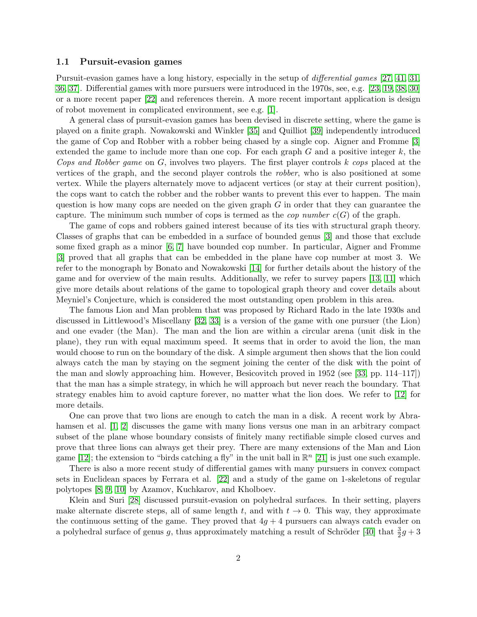#### 1.1 Pursuit-evasion games

Pursuit-evasion games have a long history, especially in the setup of differential games [\[27,](#page-29-1) [41,](#page-30-0) [31,](#page-29-2) [36,](#page-30-1) [37\]](#page-30-2). Differential games with more pursuers were introduced in the 1970s, see, e.g. [\[23,](#page-29-3) [19,](#page-29-4) [38,](#page-30-3) [30\]](#page-29-5) or a more recent paper [\[22\]](#page-29-6) and references therein. A more recent important application is design of robot movement in complicated environment, see e.g. [\[1\]](#page-27-0).

A general class of pursuit-evasion games has been devised in discrete setting, where the game is played on a finite graph. Nowakowski and Winkler [\[35\]](#page-29-7) and Quilliot [\[39\]](#page-30-4) independently introduced the game of Cop and Robber with a robber being chased by a single cop. Aigner and Fromme [\[3\]](#page-28-1) extended the game to include more than one cop. For each graph  $G$  and a positive integer  $k$ , the Cops and Robber game on  $G$ , involves two players. The first player controls  $k$  cops placed at the vertices of the graph, and the second player controls the robber, who is also positioned at some vertex. While the players alternately move to adjacent vertices (or stay at their current position), the cops want to catch the robber and the robber wants to prevent this ever to happen. The main question is how many cops are needed on the given graph  $G$  in order that they can guarantee the capture. The minimum such number of cops is termed as the *cop number*  $c(G)$  of the graph.

The game of cops and robbers gained interest because of its ties with structural graph theory. Classes of graphs that can be embedded in a surface of bounded genus [\[3\]](#page-28-1) and those that exclude some fixed graph as a minor [\[6,](#page-28-2) [7\]](#page-28-3) have bounded cop number. In particular, Aigner and Fromme [\[3\]](#page-28-1) proved that all graphs that can be embedded in the plane have cop number at most 3. We refer to the monograph by Bonato and Nowakowski [\[14\]](#page-28-4) for further details about the history of the game and for overview of the main results. Additionally, we refer to survey papers [\[13,](#page-28-5) [11\]](#page-28-6) which give more details about relations of the game to topological graph theory and cover details about Meyniel's Conjecture, which is considered the most outstanding open problem in this area.

The famous Lion and Man problem that was proposed by Richard Rado in the late 1930s and discussed in Littlewood's Miscellany [\[32,](#page-29-8) [33\]](#page-29-9) is a version of the game with one pursuer (the Lion) and one evader (the Man). The man and the lion are within a circular arena (unit disk in the plane), they run with equal maximum speed. It seems that in order to avoid the lion, the man would choose to run on the boundary of the disk. A simple argument then shows that the lion could always catch the man by staying on the segment joining the center of the disk with the point of the man and slowly approaching him. However, Besicovitch proved in 1952 (see [\[33,](#page-29-9) pp. 114–117]) that the man has a simple strategy, in which he will approach but never reach the boundary. That strategy enables him to avoid capture forever, no matter what the lion does. We refer to [\[12\]](#page-28-0) for more details.

One can prove that two lions are enough to catch the man in a disk. A recent work by Abra-hamsen et al. [\[1,](#page-27-0) [2\]](#page-28-7) discusses the game with many lions versus one man in an arbitrary compact subset of the plane whose boundary consists of finitely many rectifiable simple closed curves and prove that three lions can always get their prey. There are many extensions of the Man and Lion game [\[12\]](#page-28-0); the extension to "birds catching a fly" in the unit ball in  $\mathbb{R}^n$  [\[21\]](#page-29-10) is just one such example.

There is also a more recent study of differential games with many pursuers in convex compact sets in Euclidean spaces by Ferrara et al. [\[22\]](#page-29-6) and a study of the game on 1-skeletons of regular polytopes [\[8,](#page-28-8) [9,](#page-28-9) [10\]](#page-28-10) by Azamov, Kuchkarov, and Kholboev.

Klein and Suri [\[28\]](#page-29-11) discussed pursuit-evasion on polyhedral surfaces. In their setting, players make alternate discrete steps, all of same length t, and with  $t \to 0$ . This way, they approximate the continuous setting of the game. They proved that  $4g + 4$  pursuers can always catch evader on a polyhedral surface of genus g, thus approximately matching a result of Schröder [\[40\]](#page-30-5) that  $\frac{3}{2}g + 3$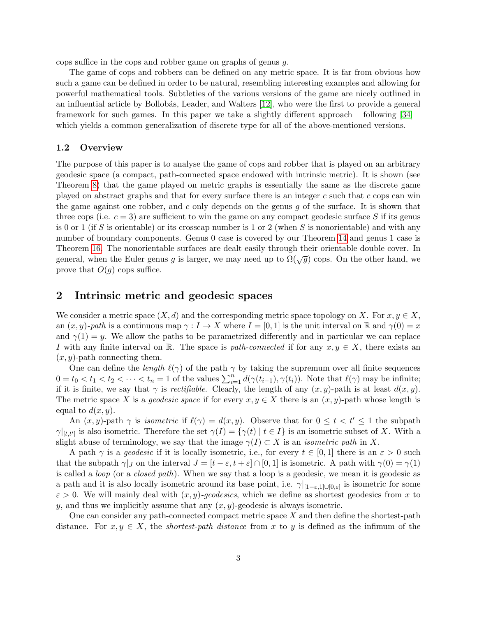cops suffice in the cops and robber game on graphs of genus g.

The game of cops and robbers can be defined on any metric space. It is far from obvious how such a game can be defined in order to be natural, resembling interesting examples and allowing for powerful mathematical tools. Subtleties of the various versions of the game are nicely outlined in an influential article by Bollobás, Leader, and Walters [\[12\]](#page-28-0), who were the first to provide a general framework for such games. In this paper we take a slightly different approach – following [\[34\]](#page-29-0) – which yields a common generalization of discrete type for all of the above-mentioned versions.

#### 1.2 Overview

The purpose of this paper is to analyse the game of cops and robber that is played on an arbitrary geodesic space (a compact, path-connected space endowed with intrinsic metric). It is shown (see Theorem [8\)](#page-9-0) that the game played on metric graphs is essentially the same as the discrete game played on abstract graphs and that for every surface there is an integer  $c$  such that  $c$  cops can win the game against one robber, and c only depends on the genus  $q$  of the surface. It is shown that three cops (i.e.  $c = 3$ ) are sufficient to win the game on any compact geodesic surface S if its genus is 0 or 1 (if S is orientable) or its crosscap number is 1 or 2 (when S is nonorientable) and with any number of boundary components. Genus 0 case is covered by our Theorem [14](#page-15-0) and genus 1 case is Theorem [16.](#page-20-0) The nonorientable surfaces are dealt easily through their orientable double cover. In general, when the Euler genus g is larger, we may need up to  $\Omega(\sqrt{g})$  cops. On the other hand, we prove that  $O(g)$  cops suffice.

### 2 Intrinsic metric and geodesic spaces

We consider a metric space  $(X, d)$  and the corresponding metric space topology on X. For  $x, y \in X$ , an  $(x, y)$ -path is a continuous map  $\gamma : I \to X$  where  $I = [0, 1]$  is the unit interval on R and  $\gamma(0) = x$ and  $\gamma(1) = y$ . We allow the paths to be parametrized differently and in particular we can replace I with any finite interval on R. The space is path-connected if for any  $x, y \in X$ , there exists an  $(x, y)$ -path connecting them.

One can define the length  $\ell(\gamma)$  of the path  $\gamma$  by taking the supremum over all finite sequences  $0 = t_0 < t_1 < t_2 < \cdots < t_n = 1$  of the values  $\sum_{i=1}^n d(\gamma(t_{i-1}), \gamma(t_i))$ . Note that  $\ell(\gamma)$  may be infinite; if it is finite, we say that  $\gamma$  is *rectifiable*. Clearly, the length of any  $(x, y)$ -path is at least  $d(x, y)$ . The metric space X is a *geodesic space* if for every  $x, y \in X$  there is an  $(x, y)$ -path whose length is equal to  $d(x, y)$ .

An  $(x, y)$ -path  $\gamma$  is *isometric* if  $\ell(\gamma) = d(x, y)$ . Observe that for  $0 \le t < t' \le 1$  the subpath  $\gamma|_{[t,t']}$  is also isometric. Therefore the set  $\gamma(I) = {\gamma(t) | t \in I}$  is an isometric subset of X. With a slight abuse of terminology, we say that the image  $\gamma(I) \subset X$  is an *isometric path* in X.

A path  $\gamma$  is a *geodesic* if it is locally isometric, i.e., for every  $t \in [0,1]$  there is an  $\varepsilon > 0$  such that the subpath  $\gamma|_J$  on the interval  $J = [t - \varepsilon, t + \varepsilon] \cap [0, 1]$  is isometric. A path with  $\gamma(0) = \gamma(1)$ is called a loop (or a closed path). When we say that a loop is a geodesic, we mean it is geodesic as a path and it is also locally isometric around its base point, i.e.  $\gamma|_{[1-\varepsilon,1]\cup[0,\varepsilon]}$  is isometric for some  $\varepsilon > 0$ . We will mainly deal with  $(x, y)$ -geodesics, which we define as shortest geodesics from x to y, and thus we implicitly assume that any  $(x, y)$ -geodesic is always isometric.

One can consider any path-connected compact metric space  $X$  and then define the shortest-path distance. For  $x, y \in X$ , the *shortest-path distance* from x to y is defined as the infimum of the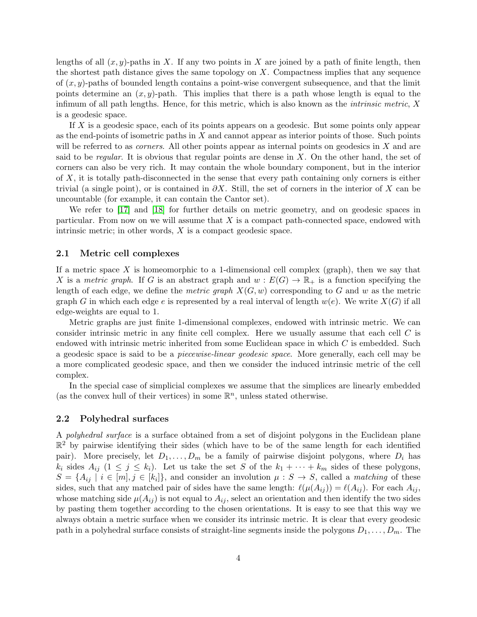lengths of all  $(x, y)$ -paths in X. If any two points in X are joined by a path of finite length, then the shortest path distance gives the same topology on  $X$ . Compactness implies that any sequence of  $(x, y)$ -paths of bounded length contains a point-wise convergent subsequence, and that the limit points determine an  $(x, y)$ -path. This implies that there is a path whose length is equal to the infimum of all path lengths. Hence, for this metric, which is also known as the *intrinsic metric*,  $X$ is a geodesic space.

If X is a geodesic space, each of its points appears on a geodesic. But some points only appear as the end-points of isometric paths in X and cannot appear as interior points of those. Such points will be referred to as *corners*. All other points appear as internal points on geodesics in  $X$  and are said to be regular. It is obvious that regular points are dense in  $X$ . On the other hand, the set of corners can also be very rich. It may contain the whole boundary component, but in the interior of X, it is totally path-disconnected in the sense that every path containing only corners is either trivial (a single point), or is contained in  $\partial X$ . Still, the set of corners in the interior of X can be uncountable (for example, it can contain the Cantor set).

We refer to [\[17\]](#page-28-11) and [\[18\]](#page-29-12) for further details on metric geometry, and on geodesic spaces in particular. From now on we will assume that  $X$  is a compact path-connected space, endowed with intrinsic metric; in other words,  $X$  is a compact geodesic space.

### 2.1 Metric cell complexes

If a metric space X is homeomorphic to a 1-dimensional cell complex (graph), then we say that X is a metric graph. If G is an abstract graph and  $w : E(G) \to \mathbb{R}_+$  is a function specifying the length of each edge, we define the metric graph  $X(G, w)$  corresponding to G and w as the metric graph G in which each edge e is represented by a real interval of length  $w(e)$ . We write  $X(G)$  if all edge-weights are equal to 1.

Metric graphs are just finite 1-dimensional complexes, endowed with intrinsic metric. We can consider intrinsic metric in any finite cell complex. Here we usually assume that each cell C is endowed with intrinsic metric inherited from some Euclidean space in which  $C$  is embedded. Such a geodesic space is said to be a piecewise-linear geodesic space. More generally, each cell may be a more complicated geodesic space, and then we consider the induced intrinsic metric of the cell complex.

In the special case of simplicial complexes we assume that the simplices are linearly embedded (as the convex hull of their vertices) in some  $\mathbb{R}^n$ , unless stated otherwise.

#### 2.2 Polyhedral surfaces

A polyhedral surface is a surface obtained from a set of disjoint polygons in the Euclidean plane  $\mathbb{R}^2$  by pairwise identifying their sides (which have to be of the same length for each identified pair). More precisely, let  $D_1, \ldots, D_m$  be a family of pairwise disjoint polygons, where  $D_i$  has  $k_i$  sides  $A_{ij}$   $(1 \leq j \leq k_i)$ . Let us take the set S of the  $k_1 + \cdots + k_m$  sides of these polygons,  $S = \{A_{ij} \mid i \in [m], j \in [k_i]\},\$ and consider an involution  $\mu : S \to S$ , called a matching of these sides, such that any matched pair of sides have the same length:  $\ell(\mu(A_{ij})) = \ell(A_{ij})$ . For each  $A_{ij}$ , whose matching side  $\mu(A_{ij})$  is not equal to  $A_{ij}$ , select an orientation and then identify the two sides by pasting them together according to the chosen orientations. It is easy to see that this way we always obtain a metric surface when we consider its intrinsic metric. It is clear that every geodesic path in a polyhedral surface consists of straight-line segments inside the polygons  $D_1, \ldots, D_m$ . The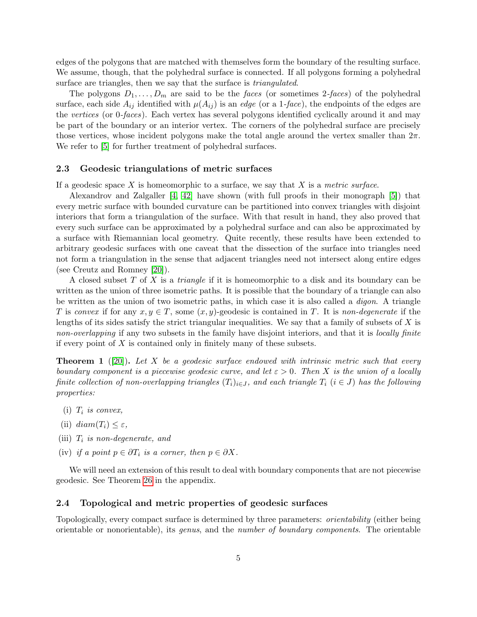edges of the polygons that are matched with themselves form the boundary of the resulting surface. We assume, though, that the polyhedral surface is connected. If all polygons forming a polyhedral surface are triangles, then we say that the surface is *triangulated*.

The polygons  $D_1, \ldots, D_m$  are said to be the faces (or sometimes 2-faces) of the polyhedral surface, each side  $A_{ij}$  identified with  $\mu(A_{ij})$  is an *edge* (or a 1-face), the endpoints of the edges are the vertices (or 0-faces). Each vertex has several polygons identified cyclically around it and may be part of the boundary or an interior vertex. The corners of the polyhedral surface are precisely those vertices, whose incident polygons make the total angle around the vertex smaller than  $2\pi$ . We refer to  $[5]$  for further treatment of polyhedral surfaces.

### 2.3 Geodesic triangulations of metric surfaces

If a geodesic space X is homeomorphic to a surface, we say that X is a metric surface.

Alexandrov and Zalgaller [\[4,](#page-28-13) [42\]](#page-30-6) have shown (with full proofs in their monograph [\[5\]](#page-28-12)) that every metric surface with bounded curvature can be partitioned into convex triangles with disjoint interiors that form a triangulation of the surface. With that result in hand, they also proved that every such surface can be approximated by a polyhedral surface and can also be approximated by a surface with Riemannian local geometry. Quite recently, these results have been extended to arbitrary geodesic surfaces with one caveat that the dissection of the surface into triangles need not form a triangulation in the sense that adjacent triangles need not intersect along entire edges (see Creutz and Romney [\[20\]](#page-29-13)).

A closed subset T of X is a *triangle* if it is homeomorphic to a disk and its boundary can be written as the union of three isometric paths. It is possible that the boundary of a triangle can also be written as the union of two isometric paths, in which case it is also called a digon. A triangle T is convex if for any  $x, y \in T$ , some  $(x, y)$ -geodesic is contained in T. It is non-degenerate if the lengths of its sides satisfy the strict triangular inequalities. We say that a family of subsets of  $X$  is non-overlapping if any two subsets in the family have disjoint interiors, and that it is locally finite if every point of  $X$  is contained only in finitely many of these subsets.

<span id="page-4-0"></span>**Theorem 1** ([\[20\]](#page-29-13)). Let X be a geodesic surface endowed with intrinsic metric such that every boundary component is a piecewise geodesic curve, and let  $\varepsilon > 0$ . Then X is the union of a locally finite collection of non-overlapping triangles  $(T_i)_{i\in J}$ , and each triangle  $T_i$   $(i \in J)$  has the following properties:

- (i)  $T_i$  is convex,
- (ii)  $diam(T_i) \leq \varepsilon$ ,
- (iii)  $T_i$  is non-degenerate, and
- (iv) if a point  $p \in \partial T_i$  is a corner, then  $p \in \partial X$ .

We will need an extension of this result to deal with boundary components that are not piecewise geodesic. See Theorem [26](#page-30-7) in the appendix.

### 2.4 Topological and metric properties of geodesic surfaces

Topologically, every compact surface is determined by three parameters: orientability (either being orientable or nonorientable), its genus, and the number of boundary components. The orientable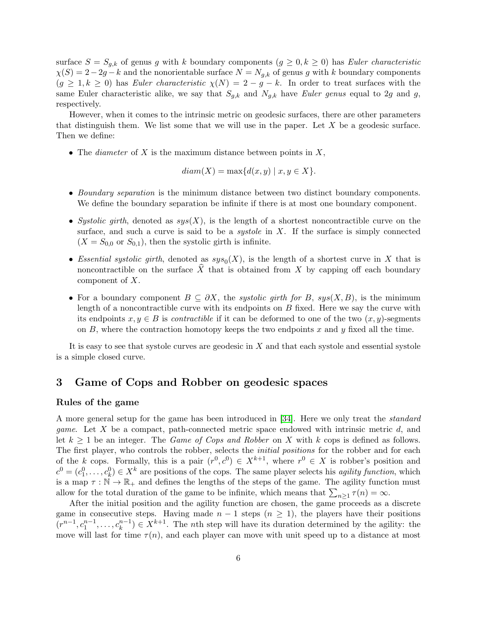surface  $S = S_{g,k}$  of genus g with k boundary components  $(g \geq 0, k \geq 0)$  has Euler characteristic  $\chi(S) = 2-2g - k$  and the nonorientable surface  $N = N_{g,k}$  of genus g with k boundary components  $(g \geq 1, k \geq 0)$  has Euler characteristic  $\chi(N) = 2 - g - k$ . In order to treat surfaces with the same Euler characteristic alike, we say that  $S_{g,k}$  and  $N_{g,k}$  have Euler genus equal to 2g and g, respectively.

However, when it comes to the intrinsic metric on geodesic surfaces, there are other parameters that distinguish them. We list some that we will use in the paper. Let  $X$  be a geodesic surface. Then we define:

• The *diameter* of X is the maximum distance between points in  $X$ ,

$$
diam(X) = \max\{d(x, y) \mid x, y \in X\}.
$$

- Boundary separation is the minimum distance between two distinct boundary components. We define the boundary separation be infinite if there is at most one boundary component.
- Systolic girth, denoted as  $sys(X)$ , is the length of a shortest noncontractible curve on the surface, and such a curve is said to be a *systole* in  $X$ . If the surface is simply connected  $(X = S_{0,0}$  or  $S_{0,1}$ ), then the systolic girth is infinite.
- Essential systolic girth, denoted as  $sys_0(X)$ , is the length of a shortest curve in X that is noncontractible on the surface  $\hat{X}$  that is obtained from X by capping off each boundary component of X.
- For a boundary component  $B \subseteq \partial X$ , the systolic girth for B, sys $(X, B)$ , is the minimum length of a noncontractible curve with its endpoints on  $B$  fixed. Here we say the curve with its endpoints  $x, y \in B$  is *contractible* if it can be deformed to one of the two  $(x, y)$ -segments on  $B$ , where the contraction homotopy keeps the two endpoints x and y fixed all the time.

It is easy to see that systole curves are geodesic in  $X$  and that each systole and essential systole is a simple closed curve.

# 3 Game of Cops and Robber on geodesic spaces

### Rules of the game

A more general setup for the game has been introduced in [\[34\]](#page-29-0). Here we only treat the standard *game.* Let  $X$  be a compact, path-connected metric space endowed with intrinsic metric  $d$ , and let  $k \geq 1$  be an integer. The *Game of Cops and Robber* on X with k cops is defined as follows. The first player, who controls the robber, selects the *initial positions* for the robber and for each of the k cops. Formally, this is a pair  $(r^0, c^0) \in X^{k+1}$ , where  $r^0 \in X$  is robber's position and  $c^0 = (c_1^0, \ldots, c_k^0) \in X^k$  are positions of the cops. The same player selects his *agility function*, which is a map  $\tau : \mathbb{N} \to \mathbb{R}_+$  and defines the lengths of the steps of the game. The agility function must allow for the total duration of the game to be infinite, which means that  $\sum_{n\geq 1} \tau(n) = \infty$ .

After the initial position and the agility function are chosen, the game proceeds as a discrete game in consecutive steps. Having made  $n-1$  steps  $(n \geq 1)$ , the players have their positions  $(r^{n-1}, c_1^{n-1}, \ldots, c_k^{n-1}) \in X^{k+1}$ . The *n*th step will have its duration determined by the agility: the move will last for time  $\tau(n)$ , and each player can move with unit speed up to a distance at most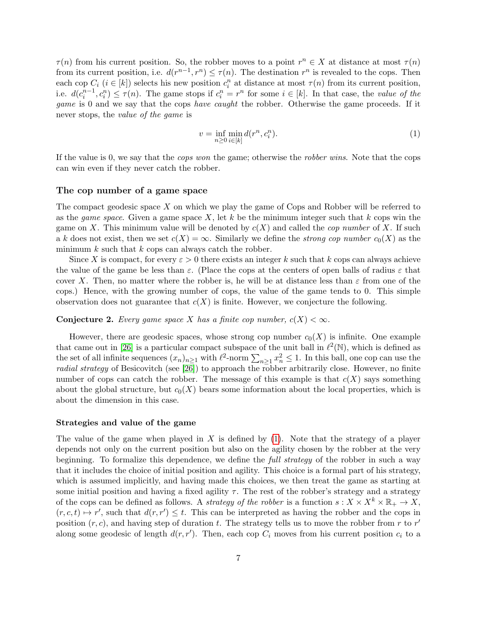$\tau(n)$  from his current position. So, the robber moves to a point  $r^n \in X$  at distance at most  $\tau(n)$ from its current position, i.e.  $d(r^{n-1}, r^n) \leq \tau(n)$ . The destination  $r^n$  is revealed to the cops. Then each cop  $C_i$   $(i \in [k])$  selects his new position  $c_i^n$  at distance at most  $\tau(n)$  from its current position, i.e.  $d(c_i^{n-1}, c_i^n) \leq \tau(n)$ . The game stops if  $c_i^n = r^n$  for some  $i \in [k]$ . In that case, the value of the game is 0 and we say that the cops have caught the robber. Otherwise the game proceeds. If it never stops, the value of the game is

<span id="page-6-0"></span>
$$
v = \inf_{n \ge 0} \min_{i \in [k]} d(r^n, c_i^n). \tag{1}
$$

If the value is 0, we say that the cops won the game; otherwise the robber wins. Note that the cops can win even if they never catch the robber.

#### The cop number of a game space

The compact geodesic space X on which we play the game of Cops and Robber will be referred to as the *game space*. Given a game space  $X$ , let k be the minimum integer such that k cops win the game on X. This minimum value will be denoted by  $c(X)$  and called the *cop number* of X. If such a k does not exist, then we set  $c(X) = \infty$ . Similarly we define the *strong cop number*  $c_0(X)$  as the minimum  $k$  such that  $k$  cops can always catch the robber.

Since X is compact, for every  $\varepsilon > 0$  there exists an integer k such that k cops can always achieve the value of the game be less than  $\varepsilon$ . (Place the cops at the centers of open balls of radius  $\varepsilon$  that cover X. Then, no matter where the robber is, he will be at distance less than  $\varepsilon$  from one of the cops.) Hence, with the growing number of cops, the value of the game tends to 0. This simple observation does not guarantee that  $c(X)$  is finite. However, we conjecture the following.

#### **Conjecture 2.** Every game space X has a finite cop number,  $c(X) < \infty$ .

However, there are geodesic spaces, whose strong cop number  $c_0(X)$  is infinite. One example that came out in [\[26\]](#page-29-14) is a particular compact subspace of the unit ball in  $\ell^2(\mathbb{N})$ , which is defined as the set of all infinite sequences  $(x_n)_{n\geq 1}$  with  $\ell^2$ -norm  $\sum_{n\geq 1} x_n^2 \leq 1$ . In this ball, one cop can use the radial strategy of Besicovitch (see [\[26\]](#page-29-14)) to approach the robber arbitrarily close. However, no finite number of cops can catch the robber. The message of this example is that  $c(X)$  says something about the global structure, but  $c_0(X)$  bears some information about the local properties, which is about the dimension in this case.

#### Strategies and value of the game

The value of the game when played in X is defined by  $(1)$ . Note that the strategy of a player depends not only on the current position but also on the agility chosen by the robber at the very beginning. To formalize this dependence, we define the *full strategy* of the robber in such a way that it includes the choice of initial position and agility. This choice is a formal part of his strategy, which is assumed implicitly, and having made this choices, we then treat the game as starting at some initial position and having a fixed agility  $\tau$ . The rest of the robber's strategy and a strategy of the cops can be defined as follows. A *strategy of the robber* is a function  $s: X \times X^k \times \mathbb{R}_+ \to X$ ,  $(r, c, t) \mapsto r'$ , such that  $d(r, r') \leq t$ . This can be interpreted as having the robber and the cops in position  $(r, c)$ , and having step of duration t. The strategy tells us to move the robber from r to r' along some geodesic of length  $d(r, r')$ . Then, each cop  $C_i$  moves from his current position  $c_i$  to a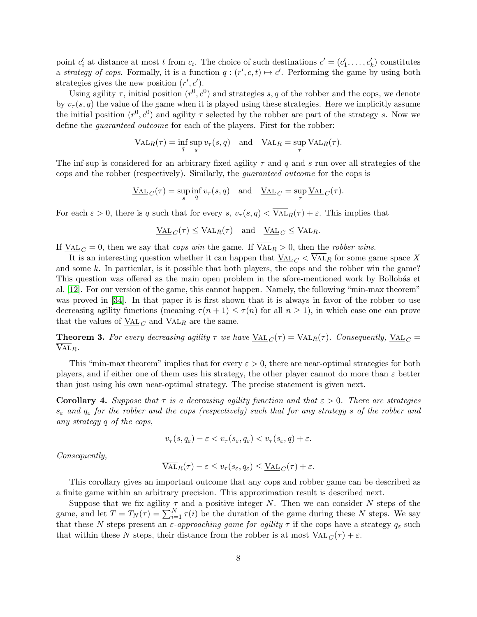point  $c'_i$  at distance at most t from  $c_i$ . The choice of such destinations  $c' = (c'_1, \ldots, c'_k)$  constitutes a strategy of cops. Formally, it is a function  $q: (r', c, t) \mapsto c'$ . Performing the game by using both strategies gives the new position  $(r', c')$ .

Using agility  $\tau$ , initial position  $(r^0, c^0)$  and strategies s, q of the robber and the cops, we denote by  $v_\tau(s, q)$  the value of the game when it is played using these strategies. Here we implicitly assume the initial position  $(r^0, c^0)$  and agility  $\tau$  selected by the robber are part of the strategy s. Now we define the guaranteed outcome for each of the players. First for the robber:

$$
\overline{\text{VAL}}_R(\tau) = \inf_q \sup_s v_\tau(s, q) \quad \text{and} \quad \overline{\text{VAL}}_R = \sup_\tau \overline{\text{VAL}}_R(\tau).
$$

The inf-sup is considered for an arbitrary fixed agility  $\tau$  and q and s run over all strategies of the cops and the robber (respectively). Similarly, the guaranteed outcome for the cops is

$$
\underline{\mathrm{VAL}}_C(\tau) = \sup_s \inf_q v_\tau(s,q) \quad \text{and} \quad \underline{\mathrm{VAL}}_C = \sup_\tau \underline{\mathrm{VAL}}_C(\tau).
$$

For each  $\varepsilon > 0$ , there is q such that for every s,  $v_\tau(s,q) < \overline{\text{VAL}}_R(\tau) + \varepsilon$ . This implies that

$$
\underline{\text{VAL}}_C(\tau) \le \overline{\text{VAL}}_R(\tau) \quad \text{and} \quad \underline{\text{VAL}}_C \le \overline{\text{VAL}}_R.
$$

If  $\underline{VAL}_C = 0$ , then we say that *cops win* the game. If  $\overline{VAL}_R > 0$ , then the *robber wins*.

It is an interesting question whether it can happen that  $\text{VAL}_{C} < \overline{\text{VAL}_{R}}$  for some game space X and some k. In particular, is it possible that both players, the cops and the robber win the game? This question was offered as the main open problem in the afore-mentioned work by Bollobás et al. [\[12\]](#page-28-0). For our version of the game, this cannot happen. Namely, the following "min-max theorem" was proved in [\[34\]](#page-29-0). In that paper it is first shown that it is always in favor of the robber to use decreasing agility functions (meaning  $\tau(n+1) \leq \tau(n)$  for all  $n \geq 1$ ), in which case one can prove that the values of  $\underline{VAL}_{C}$  and  $\overline{VAL}_{R}$  are the same.

**Theorem 3.** For every decreasing agility  $\tau$  we have  $\underline{VAL}_C(\tau) = \overline{VAL}_R(\tau)$ . Consequently,  $\underline{VAL}_C =$  $VAL<sub>R</sub>$ .

This "min-max theorem" implies that for every  $\varepsilon > 0$ , there are near-optimal strategies for both players, and if either one of them uses his strategy, the other player cannot do more than  $\varepsilon$  better than just using his own near-optimal strategy. The precise statement is given next.

**Corollary 4.** Suppose that  $\tau$  is a decreasing agility function and that  $\varepsilon > 0$ . There are strategies  $s_{\varepsilon}$  and  $q_{\varepsilon}$  for the robber and the cops (respectively) such that for any strategy s of the robber and any strategy q of the cops,

$$
v_{\tau}(s, q_{\varepsilon}) - \varepsilon < v_{\tau}(s_{\varepsilon}, q_{\varepsilon}) < v_{\tau}(s_{\varepsilon}, q) + \varepsilon.
$$

Consequently,

$$
\overline{\mathrm{VAL}}_R(\tau) - \varepsilon \le v_\tau(s_\varepsilon, q_\varepsilon) \le \underline{\mathrm{VAL}}_C(\tau) + \varepsilon.
$$

This corollary gives an important outcome that any cops and robber game can be described as a finite game within an arbitrary precision. This approximation result is described next.

Suppose that we fix agility  $\tau$  and a positive integer N. Then we can consider N steps of the game, and let  $T = T_N(\tau) = \sum_{i=1}^N \tau(i)$  be the duration of the game during these N steps. We say that these N steps present an  $\varepsilon$ -approaching game for agility  $\tau$  if the cops have a strategy  $q_{\varepsilon}$  such that within these N steps, their distance from the robber is at most  $\underline{\text{VAL}}_C(\tau) + \varepsilon$ .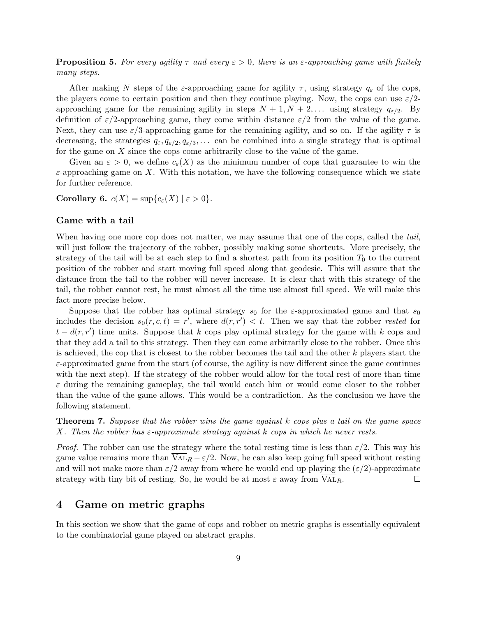**Proposition 5.** For every agility  $\tau$  and every  $\varepsilon > 0$ , there is an  $\varepsilon$ -approaching game with finitely many steps.

After making N steps of the  $\varepsilon$ -approaching game for agility  $\tau$ , using strategy  $q_{\varepsilon}$  of the cops, the players come to certain position and then they continue playing. Now, the cops can use  $\varepsilon/2$ approaching game for the remaining agility in steps  $N + 1, N + 2, \ldots$  using strategy  $q_{\varepsilon/2}$ . By definition of  $\varepsilon/2$ -approaching game, they come within distance  $\varepsilon/2$  from the value of the game. Next, they can use  $\varepsilon/3$ -approaching game for the remaining agility, and so on. If the agility  $\tau$  is decreasing, the strategies  $q_{\varepsilon}, q_{\varepsilon/2}, q_{\varepsilon/3}, \ldots$  can be combined into a single strategy that is optimal for the game on X since the cops come arbitrarily close to the value of the game.

Given an  $\varepsilon > 0$ , we define  $c_{\varepsilon}(X)$  as the minimum number of cops that guarantee to win the  $\varepsilon$ -approaching game on X. With this notation, we have the following consequence which we state for further reference.

<span id="page-8-0"></span>Corollary 6.  $c(X) = \sup\{c_{\varepsilon}(X) \mid \varepsilon > 0\}.$ 

### Game with a tail

When having one more cop does not matter, we may assume that one of the cops, called the tail, will just follow the trajectory of the robber, possibly making some shortcuts. More precisely, the strategy of the tail will be at each step to find a shortest path from its position  $T_0$  to the current position of the robber and start moving full speed along that geodesic. This will assure that the distance from the tail to the robber will never increase. It is clear that with this strategy of the tail, the robber cannot rest, he must almost all the time use almost full speed. We will make this fact more precise below.

Suppose that the robber has optimal strategy  $s_0$  for the *ε*-approximated game and that  $s_0$ includes the decision  $s_0(r, c, t) = r'$ , where  $d(r, r') < t$ . Then we say that the robber rested for  $t - d(r, r')$  time units. Suppose that k cops play optimal strategy for the game with k cops and that they add a tail to this strategy. Then they can come arbitrarily close to the robber. Once this is achieved, the cop that is closest to the robber becomes the tail and the other  $k$  players start the  $\varepsilon$ -approximated game from the start (of course, the agility is now different since the game continues with the next step). If the strategy of the robber would allow for the total rest of more than time  $\varepsilon$  during the remaining gameplay, the tail would catch him or would come closer to the robber than the value of the game allows. This would be a contradiction. As the conclusion we have the following statement.

**Theorem 7.** Suppose that the robber wins the game against k cops plus a tail on the game space X. Then the robber has  $\varepsilon$ -approximate strategy against k cops in which he never rests.

*Proof.* The robber can use the strategy where the total resting time is less than  $\varepsilon/2$ . This way his game value remains more than  $\overline{V_{A L}}_R - \varepsilon/2$ . Now, he can also keep going full speed without resting and will not make more than  $\varepsilon/2$  away from where he would end up playing the  $(\varepsilon/2)$ -approximate strategy with tiny bit of resting. So, he would be at most  $\varepsilon$  away from VAL<sub>R</sub>.  $\Box$ 

### 4 Game on metric graphs

In this section we show that the game of cops and robber on metric graphs is essentially equivalent to the combinatorial game played on abstract graphs.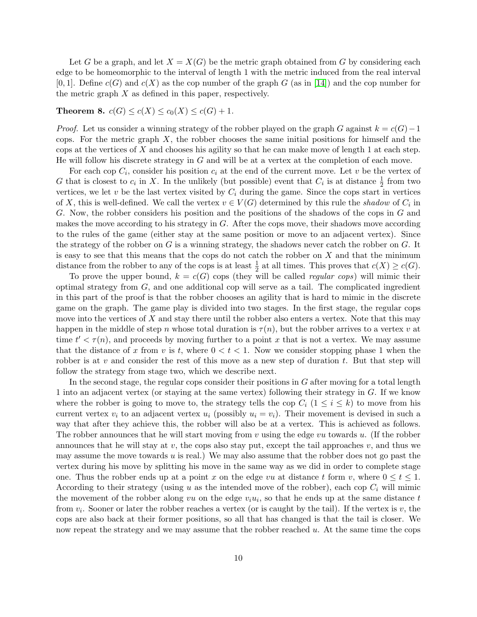Let G be a graph, and let  $X = X(G)$  be the metric graph obtained from G by considering each edge to be homeomorphic to the interval of length 1 with the metric induced from the real interval  $[0, 1]$ . Define  $c(G)$  and  $c(X)$  as the cop number of the graph G (as in [\[14\]](#page-28-4)) and the cop number for the metric graph  $X$  as defined in this paper, respectively.

### <span id="page-9-0"></span>**Theorem 8.**  $c(G) \leq c(X) \leq c_0(X) \leq c(G) + 1$ .

*Proof.* Let us consider a winning strategy of the robber played on the graph G against  $k = c(G) - 1$ cops. For the metric graph  $X$ , the robber chooses the same initial positions for himself and the cops at the vertices of X and chooses his agility so that he can make move of length 1 at each step. He will follow his discrete strategy in G and will be at a vertex at the completion of each move.

For each cop  $C_i$ , consider his position  $c_i$  at the end of the current move. Let v be the vertex of G that is closest to  $c_i$  in X. In the unlikely (but possible) event that  $C_i$  is at distance  $\frac{1}{2}$  from two vertices, we let  $v$  be the last vertex visited by  $C_i$  during the game. Since the cops start in vertices of X, this is well-defined. We call the vertex  $v \in V(G)$  determined by this rule the shadow of  $C_i$  in G. Now, the robber considers his position and the positions of the shadows of the cops in G and makes the move according to his strategy in  $G$ . After the cops move, their shadows move according to the rules of the game (either stay at the same position or move to an adjacent vertex). Since the strategy of the robber on  $G$  is a winning strategy, the shadows never catch the robber on  $G$ . It is easy to see that this means that the cops do not catch the robber on  $X$  and that the minimum distance from the robber to any of the cops is at least  $\frac{1}{2}$  at all times. This proves that  $c(X) \geq c(G)$ .

To prove the upper bound,  $k = c(G)$  cops (they will be called *regular cops*) will mimic their optimal strategy from  $G$ , and one additional cop will serve as a tail. The complicated ingredient in this part of the proof is that the robber chooses an agility that is hard to mimic in the discrete game on the graph. The game play is divided into two stages. In the first stage, the regular cops move into the vertices of  $X$  and stay there until the robber also enters a vertex. Note that this may happen in the middle of step n whose total duration is  $\tau(n)$ , but the robber arrives to a vertex v at time  $t' < \tau(n)$ , and proceeds by moving further to a point x that is not a vertex. We may assume that the distance of x from v is t, where  $0 < t < 1$ . Now we consider stopping phase 1 when the robber is at v and consider the rest of this move as a new step of duration t. But that step will follow the strategy from stage two, which we describe next.

In the second stage, the regular cops consider their positions in  $G$  after moving for a total length 1 into an adjacent vertex (or staying at the same vertex) following their strategy in G. If we know where the robber is going to move to, the strategy tells the cop  $C_i$  ( $1 \le i \le k$ ) to move from his current vertex  $v_i$  to an adjacent vertex  $u_i$  (possibly  $u_i = v_i$ ). Their movement is devised in such a way that after they achieve this, the robber will also be at a vertex. This is achieved as follows. The robber announces that he will start moving from  $v$  using the edge  $vu$  towards  $u$ . (If the robber announces that he will stay at  $v$ , the cops also stay put, except the tail approaches  $v$ , and thus we may assume the move towards  $u$  is real.) We may also assume that the robber does not go past the vertex during his move by splitting his move in the same way as we did in order to complete stage one. Thus the robber ends up at a point x on the edge vu at distance t form v, where  $0 \le t \le 1$ . According to their strategy (using u as the intended move of the robber), each cop  $C_i$  will mimic the movement of the robber along vu on the edge  $v_i u_i$ , so that he ends up at the same distance t from  $v_i$ . Sooner or later the robber reaches a vertex (or is caught by the tail). If the vertex is  $v$ , the cops are also back at their former positions, so all that has changed is that the tail is closer. We now repeat the strategy and we may assume that the robber reached  $u$ . At the same time the cops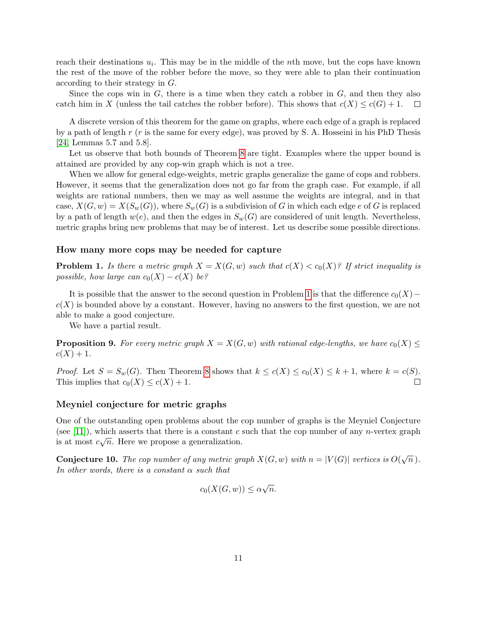reach their destinations  $u_i$ . This may be in the middle of the *n*th move, but the cops have known the rest of the move of the robber before the move, so they were able to plan their continuation according to their strategy in G.

Since the cops win in  $G$ , there is a time when they catch a robber in  $G$ , and then they also catch him in X (unless the tail catches the robber before). This shows that  $c(X) \leq c(G) + 1$ .  $\Box$ 

A discrete version of this theorem for the game on graphs, where each edge of a graph is replaced by a path of length  $r(r$  is the same for every edge), was proved by S. A. Hosseini in his PhD Thesis [\[24,](#page-29-15) Lemmas 5.7 and 5.8].

Let us observe that both bounds of Theorem [8](#page-9-0) are tight. Examples where the upper bound is attained are provided by any cop-win graph which is not a tree.

When we allow for general edge-weights, metric graphs generalize the game of cops and robbers. However, it seems that the generalization does not go far from the graph case. For example, if all weights are rational numbers, then we may as well assume the weights are integral, and in that case,  $X(G, w) = X(S_w(G))$ , where  $S_w(G)$  is a subdivision of G in which each edge e of G is replaced by a path of length  $w(e)$ , and then the edges in  $S_w(G)$  are considered of unit length. Nevertheless, metric graphs bring new problems that may be of interest. Let us describe some possible directions.

### How many more cops may be needed for capture

<span id="page-10-0"></span>**Problem 1.** Is there a metric graph  $X = X(G, w)$  such that  $c(X) < c_0(X)$ ? If strict inequality is possible, how large can  $c_0(X) - c(X)$  be?

It is possible that the answer to the second question in Problem [1](#page-10-0) is that the difference  $c_0(X)$  –  $c(X)$  is bounded above by a constant. However, having no answers to the first question, we are not able to make a good conjecture.

We have a partial result.

**Proposition 9.** For every metric graph  $X = X(G, w)$  with rational edge-lengths, we have  $c_0(X) \leq$  $c(X) + 1.$ 

*Proof.* Let  $S = S_w(G)$ . Then Theorem [8](#page-9-0) shows that  $k \le c(X) \le c_0(X) \le k+1$ , where  $k = c(S)$ . This implies that  $c_0(X) \leq c(X) + 1$ .  $\Box$ 

### Meyniel conjecture for metric graphs

One of the outstanding open problems about the cop number of graphs is the Meyniel Conjecture (see [\[11\]](#page-28-6)), which asserts that there is a constant c such that the cop number of any n-vertex graph is at most  $c\sqrt{n}$ . Here we propose a generalization.

<span id="page-10-1"></span>**Conjecture 10.** The cop number of any metric graph  $X(G, w)$  with  $n = |V(G)|$  vertices is  $O(\sqrt{n})$ . In other words, there is a constant  $\alpha$  such that

$$
c_0(X(G, w)) \le \alpha \sqrt{n}.
$$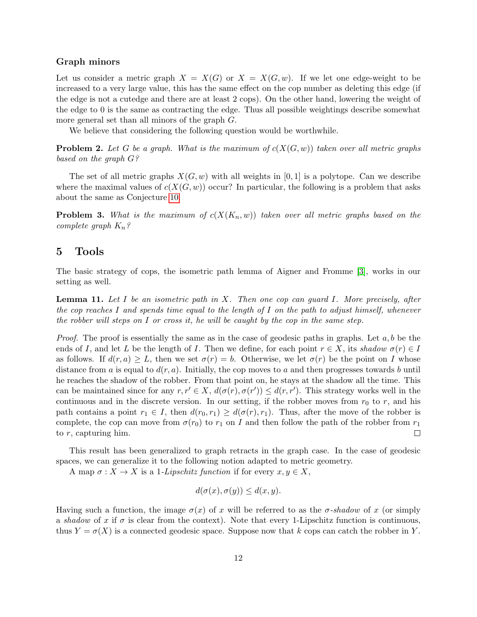### Graph minors

Let us consider a metric graph  $X = X(G)$  or  $X = X(G, w)$ . If we let one edge-weight to be increased to a very large value, this has the same effect on the cop number as deleting this edge (if the edge is not a cutedge and there are at least 2 cops). On the other hand, lowering the weight of the edge to 0 is the same as contracting the edge. Thus all possible weightings describe somewhat more general set than all minors of the graph G.

We believe that considering the following question would be worthwhile.

**Problem 2.** Let G be a graph. What is the maximum of  $c(X(G, w))$  taken over all metric graphs based on the graph G?

The set of all metric graphs  $X(G, w)$  with all weights in [0, 1] is a polytope. Can we describe where the maximal values of  $c(X(G, w))$  occur? In particular, the following is a problem that asks about the same as Conjecture [10.](#page-10-1)

**Problem 3.** What is the maximum of  $c(X(K_n, w))$  taken over all metric graphs based on the complete graph  $K_n$ ?

# 5 Tools

The basic strategy of cops, the isometric path lemma of Aigner and Fromme [\[3\]](#page-28-1), works in our setting as well.

<span id="page-11-0"></span>**Lemma 11.** Let I be an isometric path in X. Then one cop can guard I. More precisely, after the cop reaches I and spends time equal to the length of I on the path to adjust himself, whenever the robber will steps on  $I$  or cross it, he will be caught by the cop in the same step.

*Proof.* The proof is essentially the same as in the case of geodesic paths in graphs. Let  $a, b$  be the ends of I, and let L be the length of I. Then we define, for each point  $r \in X$ , its shadow  $\sigma(r) \in I$ as follows. If  $d(r, a) \geq L$ , then we set  $\sigma(r) = b$ . Otherwise, we let  $\sigma(r)$  be the point on I whose distance from a is equal to  $d(r, a)$ . Initially, the cop moves to a and then progresses towards b until he reaches the shadow of the robber. From that point on, he stays at the shadow all the time. This can be maintained since for any  $r, r' \in X$ ,  $d(\sigma(r), \sigma(r')) \leq d(r, r')$ . This strategy works well in the continuous and in the discrete version. In our setting, if the robber moves from  $r_0$  to r, and his path contains a point  $r_1 \in I$ , then  $d(r_0, r_1) \geq d(\sigma(r), r_1)$ . Thus, after the move of the robber is complete, the cop can move from  $\sigma(r_0)$  to  $r_1$  on I and then follow the path of the robber from  $r_1$ to  $r$ , capturing him.  $\Box$ 

This result has been generalized to graph retracts in the graph case. In the case of geodesic spaces, we can generalize it to the following notion adapted to metric geometry.

A map  $\sigma: X \to X$  is a 1-Lipschitz function if for every  $x, y \in X$ ,

$$
d(\sigma(x), \sigma(y)) \le d(x, y).
$$

Having such a function, the image  $\sigma(x)$  of x will be referred to as the  $\sigma$ -shadow of x (or simply a shadow of x if  $\sigma$  is clear from the context). Note that every 1-Lipschitz function is continuous, thus  $Y = \sigma(X)$  is a connected geodesic space. Suppose now that k cops can catch the robber in Y.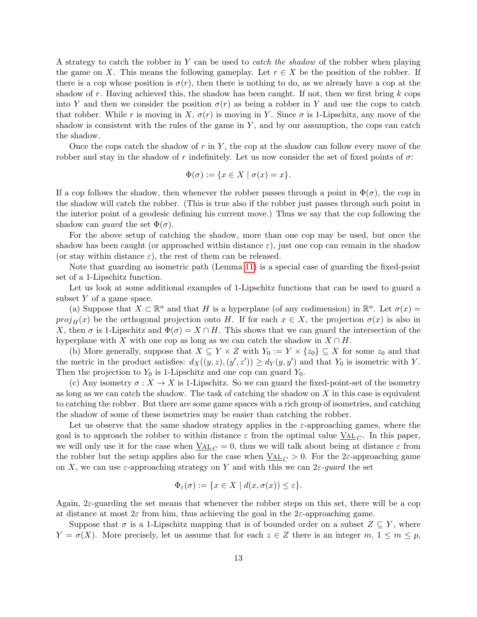A strategy to catch the robber in Y can be used to catch the shadow of the robber when playing the game on X. This means the following gameplay. Let  $r \in X$  be the position of the robber. If there is a cop whose position is  $\sigma(r)$ , then there is nothing to do, as we already have a cop at the shadow of r. Having achieved this, the shadow has been caught. If not, then we first bring  $k$  cops into Y and then we consider the position  $\sigma(r)$  as being a robber in Y and use the cops to catch that robber. While r is moving in X,  $\sigma(r)$  is moving in Y. Since  $\sigma$  is 1-Lipschitz, any move of the shadow is consistent with the rules of the game in  $Y$ , and by our assumption, the cops can catch the shadow.

Once the cops catch the shadow of  $r$  in  $Y$ , the cop at the shadow can follow every move of the robber and stay in the shadow of r indefinitely. Let us now consider the set of fixed points of  $\sigma$ :

$$
\Phi(\sigma) := \{ x \in X \mid \sigma(x) = x \}.
$$

If a cop follows the shadow, then whenever the robber passes through a point in  $\Phi(\sigma)$ , the cop in the shadow will catch the robber. (This is true also if the robber just passes through such point in the interior point of a geodesic defining his current move.) Thus we say that the cop following the shadow can *guard* the set  $\Phi(\sigma)$ .

For the above setup of catching the shadow, more than one cop may be used, but once the shadow has been caught (or approached within distance  $\varepsilon$ ), just one cop can remain in the shadow (or stay within distance  $\varepsilon$ ), the rest of them can be released.

Note that guarding an isometric path (Lemma [11\)](#page-11-0) is a special case of guarding the fixed-point set of a 1-Lipschitz function.

Let us look at some additional examples of 1-Lipschitz functions that can be used to guard a subset  $Y$  of a game space.

(a) Suppose that  $X \subset \mathbb{R}^n$  and that H is a hyperplane (of any codimension) in  $\mathbb{R}^n$ . Let  $\sigma(x) =$  $proj_H(x)$  be the orthogonal projection onto H. If for each  $x \in X$ , the projection  $\sigma(x)$  is also in X, then  $\sigma$  is 1-Lipschitz and  $\Phi(\sigma) = X \cap H$ . This shows that we can guard the intersection of the hyperplane with X with one cop as long as we can catch the shadow in  $X \cap H$ .

(b) More generally, suppose that  $X \subseteq Y \times Z$  with  $Y_0 := Y \times \{z_0\} \subseteq X$  for some  $z_0$  and that the metric in the product satisfies:  $d_X((y, z), (y', z')) \ge d_Y(y, y')$  and that  $Y_0$  is isometric with Y. Then the projection to  $Y_0$  is 1-Lipschitz and one cop can guard  $Y_0$ .

(c) Any isometry  $\sigma: X \to X$  is 1-Lipschitz. So we can guard the fixed-point-set of the isometry as long as we can catch the shadow. The task of catching the shadow on  $X$  in this case is equivalent to catching the robber. But there are some game spaces with a rich group of isometries, and catching the shadow of some of these isometries may be easier than catching the robber.

Let us observe that the same shadow strategy applies in the  $\varepsilon$ -approaching games, where the goal is to approach the robber to within distance  $\varepsilon$  from the optimal value  $\underline{VAL}_{C}$ . In this paper, we will only use it for the case when  $\underline{VAL}_{C} = 0$ , thus we will talk about being at distance  $\varepsilon$  from the robber but the setup applies also for the case when  $\underline{VAL}_C > 0$ . For the 2 $\varepsilon$ -approaching game on X, we can use  $\varepsilon$ -approaching strategy on Y and with this we can  $2\varepsilon$ -quard the set

$$
\Phi_{\varepsilon}(\sigma) := \{ x \in X \mid d(x, \sigma(x)) \le \varepsilon \}.
$$

Again, 2ε-guarding the set means that whenever the robber steps on this set, there will be a cop at distance at most  $2\varepsilon$  from him, thus achieving the goal in the  $2\varepsilon$ -approaching game.

Suppose that  $\sigma$  is a 1-Lipschitz mapping that is of bounded order on a subset  $Z \subseteq Y$ , where  $Y = \sigma(X)$ . More precisely, let us assume that for each  $z \in Z$  there is an integer  $m, 1 \le m \le p$ ,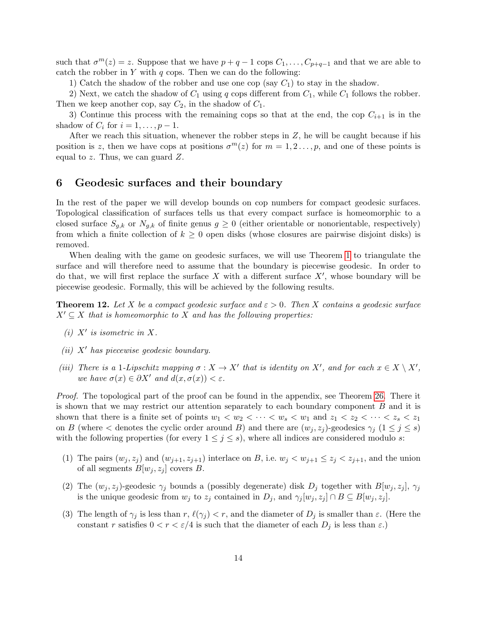such that  $\sigma^m(z) = z$ . Suppose that we have  $p + q - 1$  cops  $C_1, \ldots, C_{p+q-1}$  and that we are able to catch the robber in  $Y$  with  $q$  cops. Then we can do the following:

1) Catch the shadow of the robber and use one cop (say  $C_1$ ) to stay in the shadow.

2) Next, we catch the shadow of  $C_1$  using q cops different from  $C_1$ , while  $C_1$  follows the robber. Then we keep another cop, say  $C_2$ , in the shadow of  $C_1$ .

3) Continue this process with the remaining cops so that at the end, the cop  $C_{i+1}$  is in the shadow of  $C_i$  for  $i = 1, \ldots, p - 1$ .

After we reach this situation, whenever the robber steps in  $Z$ , he will be caught because if his position is z, then we have cops at positions  $\sigma^m(z)$  for  $m = 1, 2, \ldots, p$ , and one of these points is equal to z. Thus, we can guard Z.

### 6 Geodesic surfaces and their boundary

In the rest of the paper we will develop bounds on cop numbers for compact geodesic surfaces. Topological classification of surfaces tells us that every compact surface is homeomorphic to a closed surface  $S_{q,k}$  or  $N_{q,k}$  of finite genus  $q \geq 0$  (either orientable or nonorientable, respectively) from which a finite collection of  $k \geq 0$  open disks (whose closures are pairwise disjoint disks) is removed.

When dealing with the game on geodesic surfaces, we will use Theorem [1](#page-4-0) to triangulate the surface and will therefore need to assume that the boundary is piecewise geodesic. In order to do that, we will first replace the surface X with a different surface  $X'$ , whose boundary will be piecewise geodesic. Formally, this will be achieved by the following results.

<span id="page-13-0"></span>**Theorem 12.** Let X be a compact geodesic surface and  $\varepsilon > 0$ . Then X contains a geodesic surface  $X' \subseteq X$  that is homeomorphic to X and has the following properties:

- (i)  $X'$  is isometric in X.
- $(ii)$  X' has piecewise geodesic boundary.
- (iii) There is a 1-Lipschitz mapping  $\sigma : X \to X'$  that is identity on X', and for each  $x \in X \setminus X'$ , we have  $\sigma(x) \in \partial X'$  and  $d(x, \sigma(x)) < \varepsilon$ .

Proof. The topological part of the proof can be found in the appendix, see Theorem [26.](#page-30-7) There it is shown that we may restrict our attention separately to each boundary component B and it is shown that there is a finite set of points  $w_1 < w_2 < \cdots < w_s < w_1$  and  $z_1 < z_2 < \cdots < z_s < z_1$ on B (where  $\lt$  denotes the cyclic order around B) and there are  $(w_j, z_j)$ -geodesics  $\gamma_j$  ( $1 \leq j \leq s$ ) with the following properties (for every  $1 \leq j \leq s$ ), where all indices are considered modulo s:

- (1) The pairs  $(w_j, z_j)$  and  $(w_{j+1}, z_{j+1})$  interlace on B, i.e.  $w_j < w_{j+1} \le z_j < z_{j+1}$ , and the union of all segments  $B[w_i, z_i]$  covers B.
- (2) The  $(w_j, z_j)$ -geodesic  $\gamma_j$  bounds a (possibly degenerate) disk  $D_j$  together with  $B[w_j, z_j]$ ,  $\gamma_j$ is the unique geodesic from  $w_j$  to  $z_j$  contained in  $D_j$ , and  $\gamma_j[w_j, z_j] \cap B \subseteq B[w_j, z_j]$ .
- (3) The length of  $\gamma_i$  is less than r,  $\ell(\gamma_i) < r$ , and the diameter of  $D_i$  is smaller than  $\varepsilon$ . (Here the constant r satisfies  $0 < r < \varepsilon/4$  is such that the diameter of each  $D_i$  is less than  $\varepsilon$ .)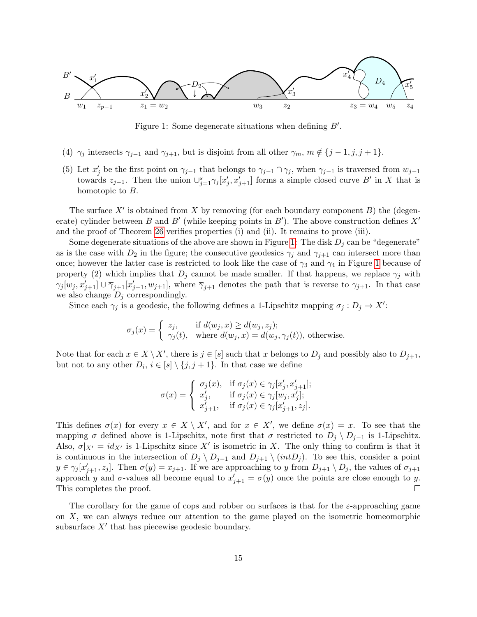

<span id="page-14-0"></span>Figure 1: Some degenerate situations when defining  $B'$ .

- (4)  $\gamma_j$  intersects  $\gamma_{j-1}$  and  $\gamma_{j+1}$ , but is disjoint from all other  $\gamma_m$ ,  $m \notin \{j-1, j, j+1\}$ .
- (5) Let  $x'_j$  be the first point on  $\gamma_{j-1}$  that belongs to  $\gamma_{j-1} \cap \gamma_j$ , when  $\gamma_{j-1}$  is traversed from  $w_{j-1}$ towards  $z_{j-1}$ . Then the union  $\cup_{j=1}^s \gamma_j [x'_j, x'_{j+1}]$  forms a simple closed curve B' in X that is homotopic to B.

The surface  $X'$  is obtained from X by removing (for each boundary component  $B$ ) the (degenerate) cylinder between B and B' (while keeping points in B'). The above construction defines  $X'$ and the proof of Theorem [26](#page-30-7) verifies properties (i) and (ii). It remains to prove (iii).

Some degenerate situations of the above are shown in Figure [1:](#page-14-0) The disk  $D_i$  can be "degenerate" as is the case with  $D_2$  in the figure; the consecutive geodesics  $\gamma_i$  and  $\gamma_{i+1}$  can intersect more than once; however the latter case is restricted to look like the case of  $\gamma_3$  and  $\gamma_4$  in Figure [1](#page-14-0) because of property (2) which implies that  $D_j$  cannot be made smaller. If that happens, we replace  $\gamma_j$  with  $\gamma_j[w_j, x'_{j+1}] \cup \overline{\gamma}_{j+1}[x'_{j+1}, w_{j+1}],$  where  $\overline{\gamma}_{j+1}$  denotes the path that is reverse to  $\gamma_{j+1}$ . In that case we also change  $D_j$  correspondingly.

Since each  $\gamma_j$  is a geodesic, the following defines a 1-Lipschitz mapping  $\sigma_j: D_j \to X'$ :

$$
\sigma_j(x) = \begin{cases} z_j, & \text{if } d(w_j, x) \ge d(w_j, z_j); \\ \gamma_j(t), & \text{where } d(w_j, x) = d(w_j, \gamma_j(t)), \text{ otherwise.} \end{cases}
$$

Note that for each  $x \in X \setminus X'$ , there is  $j \in [s]$  such that x belongs to  $D_j$  and possibly also to  $D_{j+1}$ , but not to any other  $D_i$ ,  $i \in [s] \setminus \{j, j + 1\}$ . In that case we define

$$
\sigma(x) = \begin{cases} \sigma_j(x), & \text{if } \sigma_j(x) \in \gamma_j[x'_j, x'_{j+1}]; \\ x'_j, & \text{if } \sigma_j(x) \in \gamma_j[w_j, x'_j]; \\ x'_{j+1}, & \text{if } \sigma_j(x) \in \gamma_j[x'_{j+1}, z_j]. \end{cases}
$$

This defines  $\sigma(x)$  for every  $x \in X \setminus X'$ , and for  $x \in X'$ , we define  $\sigma(x) = x$ . To see that the mapping  $\sigma$  defined above is 1-Lipschitz, note first that  $\sigma$  restricted to  $D_i \setminus D_{i-1}$  is 1-Lipschitz. Also,  $\sigma|_{X'} = id_{X'}$  is 1-Lipschitz since X' is isometric in X. The only thing to confirm is that it is continuous in the intersection of  $D_j \setminus D_{j-1}$  and  $D_{j+1} \setminus (intD_j)$ . To see this, consider a point  $y \in \gamma_j[x'_{j+1}, z_j]$ . Then  $\sigma(y) = x_{j+1}$ . If we are approaching to y from  $D_{j+1} \setminus D_j$ , the values of  $\sigma_{j+1}$ approach y and  $\sigma$ -values all become equal to  $x'_{j+1} = \sigma(y)$  once the points are close enough to y. This completes the proof.  $\Box$ 

The corollary for the game of cops and robber on surfaces is that for the  $\varepsilon$ -approaching game on X, we can always reduce our attention to the game played on the isometric homeomorphic subsurface  $X'$  that has piecewise geodesic boundary.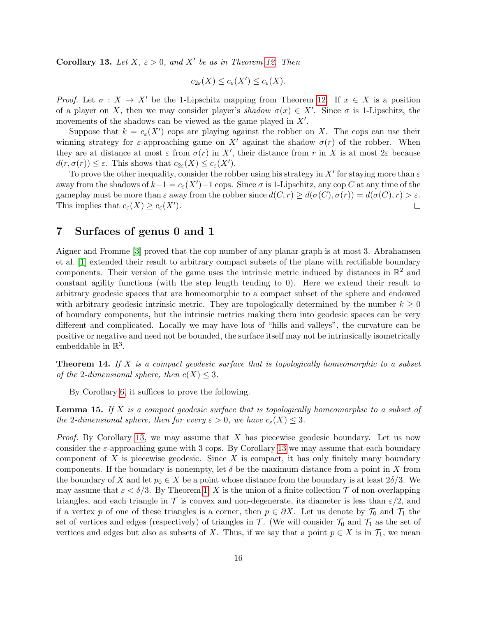<span id="page-15-1"></span>Corollary 13. Let  $X, \varepsilon > 0$ , and  $X'$  be as in Theorem [12.](#page-13-0) Then

$$
c_{2\varepsilon}(X) \leq c_{\varepsilon}(X') \leq c_{\varepsilon}(X).
$$

Proof. Let  $\sigma : X \to X'$  be the 1-Lipschitz mapping from Theorem [12.](#page-13-0) If  $x \in X$  is a position of a player on X, then we may consider player's shadow  $\sigma(x) \in X'$ . Since  $\sigma$  is 1-Lipschitz, the movements of the shadows can be viewed as the game played in  $X'$ .

Suppose that  $k = c_{\varepsilon}(X')$  cops are playing against the robber on X. The cops can use their winning strategy for  $\varepsilon$ -approaching game on X' against the shadow  $\sigma(r)$  of the robber. When they are at distance at most  $\varepsilon$  from  $\sigma(r)$  in X', their distance from r in X is at most  $2\varepsilon$  because  $d(r, \sigma(r)) \leq \varepsilon$ . This shows that  $c_{2\varepsilon}(X) \leq c_{\varepsilon}(X')$ .

To prove the other inequality, consider the robber using his strategy in  $X'$  for staying more than  $\varepsilon$ away from the shadows of  $k-1 = c_{\varepsilon}(X') - 1$  cops. Since  $\sigma$  is 1-Lipschitz, any cop C at any time of the gameplay must be more than  $\varepsilon$  away from the robber since  $d(C, r) \geq d(\sigma(C), \sigma(r)) = d(\sigma(C), r) > \varepsilon$ . This implies that  $c_{\varepsilon}(X) \geq c_{\varepsilon}(X')$ .  $\Box$ 

# 7 Surfaces of genus 0 and 1

Aigner and Fromme [\[3\]](#page-28-1) proved that the cop number of any planar graph is at most 3. Abrahamsen et al. [\[1\]](#page-27-0) extended their result to arbitrary compact subsets of the plane with rectifiable boundary components. Their version of the game uses the intrinsic metric induced by distances in  $\mathbb{R}^2$  and constant agility functions (with the step length tending to 0). Here we extend their result to arbitrary geodesic spaces that are homeomorphic to a compact subset of the sphere and endowed with arbitrary geodesic intrinsic metric. They are topologically determined by the number  $k \geq 0$ of boundary components, but the intrinsic metrics making them into geodesic spaces can be very different and complicated. Locally we may have lots of "hills and valleys", the curvature can be positive or negative and need not be bounded, the surface itself may not be intrinsically isometrically embeddable in  $\mathbb{R}^3$ .

<span id="page-15-0"></span>**Theorem 14.** If X is a compact geodesic surface that is topologically homeomorphic to a subset of the 2-dimensional sphere, then  $c(X) \leq 3$ .

By Corollary [6,](#page-8-0) it suffices to prove the following.

**Lemma 15.** If X is a compact geodesic surface that is topologically homeomorphic to a subset of the 2-dimensional sphere, then for every  $\varepsilon > 0$ , we have  $c_{\varepsilon}(X) \leq 3$ .

*Proof.* By Corollary [13,](#page-15-1) we may assume that X has piecewise geodesic boundary. Let us now consider the  $\varepsilon$ -approaching game with 3 cops. By Corollary [13](#page-15-1) we may assume that each boundary component of X is piecewise geodesic. Since X is compact, it has only finitely many boundary components. If the boundary is nonempty, let  $\delta$  be the maximum distance from a point in X from the boundary of X and let  $p_0 \in X$  be a point whose distance from the boundary is at least  $2\delta/3$ . We may assume that  $\varepsilon < \delta/3$ . By Theorem [1,](#page-4-0) X is the union of a finite collection T of non-overlapping triangles, and each triangle in  $\mathcal T$  is convex and non-degenerate, its diameter is less than  $\varepsilon/2$ , and if a vertex p of one of these triangles is a corner, then  $p \in \partial X$ . Let us denote by  $\mathcal{T}_0$  and  $\mathcal{T}_1$  the set of vertices and edges (respectively) of triangles in  $\mathcal{T}$ . (We will consider  $\mathcal{T}_0$  and  $\mathcal{T}_1$  as the set of vertices and edges but also as subsets of X. Thus, if we say that a point  $p \in X$  is in  $\mathcal{T}_1$ , we mean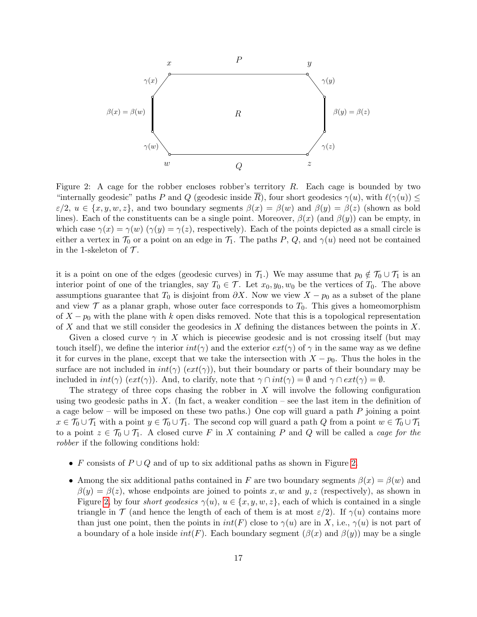

<span id="page-16-0"></span>Figure 2: A cage for the robber encloses robber's territory  $R$ . Each cage is bounded by two "internally geodesic" paths P and Q (geodesic inside  $\overline{R}$ ), four short geodesics  $\gamma(u)$ , with  $\ell(\gamma(u)) \leq$  $\varepsilon/2, u \in \{x, y, w, z\}$ , and two boundary segments  $\beta(x) = \beta(w)$  and  $\beta(y) = \beta(z)$  (shown as bold lines). Each of the constituents can be a single point. Moreover,  $\beta(x)$  (and  $\beta(y)$ ) can be empty, in which case  $\gamma(x) = \gamma(w)$  ( $\gamma(y) = \gamma(z)$ , respectively). Each of the points depicted as a small circle is either a vertex in  $\mathcal{T}_0$  or a point on an edge in  $\mathcal{T}_1$ . The paths P, Q, and  $\gamma(u)$  need not be contained in the 1-skeleton of  $\mathcal{T}$ .

it is a point on one of the edges (geodesic curves) in  $\mathcal{T}_1$ .) We may assume that  $p_0 \notin \mathcal{T}_0 \cup \mathcal{T}_1$  is an interior point of one of the triangles, say  $T_0 \in \mathcal{T}$ . Let  $x_0, y_0, w_0$  be the vertices of  $T_0$ . The above assumptions guarantee that  $T_0$  is disjoint from  $\partial X$ . Now we view  $X - p_0$  as a subset of the plane and view  $\mathcal T$  as a planar graph, whose outer face corresponds to  $T_0$ . This gives a homeomorphism of  $X - p_0$  with the plane with k open disks removed. Note that this is a topological representation of X and that we still consider the geodesics in X defining the distances between the points in X.

Given a closed curve  $\gamma$  in X which is piecewise geodesic and is not crossing itself (but may touch itself), we define the interior  $int(\gamma)$  and the exterior  $ext(\gamma)$  of  $\gamma$  in the same way as we define it for curves in the plane, except that we take the intersection with  $X - p_0$ . Thus the holes in the surface are not included in  $int(\gamma)$  ( $ext(\gamma)$ ), but their boundary or parts of their boundary may be included in  $int(\gamma)$  ( $ext(\gamma)$ ). And, to clarify, note that  $\gamma \cap int(\gamma) = \emptyset$  and  $\gamma \cap ext(\gamma) = \emptyset$ .

The strategy of three cops chasing the robber in  $X$  will involve the following configuration using two geodesic paths in X. (In fact, a weaker condition – see the last item in the definition of a cage below – will be imposed on these two paths.) One cop will guard a path  $P$  joining a point  $x \in \mathcal{T}_0 \cup \mathcal{T}_1$  with a point  $y \in \mathcal{T}_0 \cup \mathcal{T}_1$ . The second cop will guard a path Q from a point  $w \in \mathcal{T}_0 \cup \mathcal{T}_1$ to a point  $z \in \mathcal{T}_0 \cup \mathcal{T}_1$ . A closed curve F in X containing P and Q will be called a cage for the robber if the following conditions hold:

- F consists of  $P \cup Q$  and of up to six additional paths as shown in Figure [2.](#page-16-0)
- Among the six additional paths contained in F are two boundary segments  $\beta(x) = \beta(w)$  and  $\beta(y) = \beta(z)$ , whose endpoints are joined to points x, w and y, z (respectively), as shown in Figure [2,](#page-16-0) by four *short geodesics*  $\gamma(u)$ ,  $u \in \{x, y, w, z\}$ , each of which is contained in a single triangle in T (and hence the length of each of them is at most  $\varepsilon/2$ ). If  $\gamma(u)$  contains more than just one point, then the points in  $int(F)$  close to  $\gamma(u)$  are in X, i.e.,  $\gamma(u)$  is not part of a boundary of a hole inside  $int(F)$ . Each boundary segment  $(\beta(x)$  and  $\beta(y))$  may be a single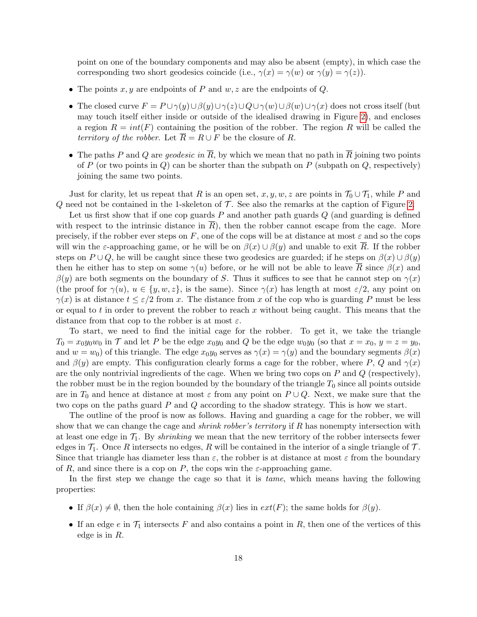point on one of the boundary components and may also be absent (empty), in which case the corresponding two short geodesics coincide (i.e.,  $\gamma(x) = \gamma(w)$  or  $\gamma(y) = \gamma(z)$ ).

- The points  $x, y$  are endpoints of P and  $w, z$  are the endpoints of Q.
- The closed curve  $F = P \cup \gamma(y) \cup \beta(y) \cup \gamma(z) \cup Q \cup \gamma(w) \cup \beta(w) \cup \gamma(x)$  does not cross itself (but may touch itself either inside or outside of the idealised drawing in Figure [2\)](#page-16-0), and encloses a region  $R = int(F)$  containing the position of the robber. The region R will be called the territory of the robber. Let  $\overline{R} = R \cup F$  be the closure of R.
- The paths P and Q are geodesic in  $\overline{R}$ , by which we mean that no path in  $\overline{R}$  joining two points of P (or two points in Q) can be shorter than the subpath on P (subpath on Q, respectively) joining the same two points.

Just for clarity, let us repeat that R is an open set,  $x, y, w, z$  are points in  $\mathcal{T}_0 \cup \mathcal{T}_1$ , while P and  $Q$  need not be contained in the 1-skeleton of  $\mathcal T$ . See also the remarks at the caption of Figure [2.](#page-16-0)

Let us first show that if one cop guards  $P$  and another path guards  $Q$  (and guarding is defined with respect to the intrinsic distance in  $\overline{R}$ ), then the robber cannot escape from the cage. More precisely, if the robber ever steps on F, one of the cops will be at distance at most  $\varepsilon$  and so the cops will win the  $\varepsilon$ -approaching game, or he will be on  $\beta(x) \cup \beta(y)$  and unable to exit R. If the robber steps on  $P \cup Q$ , he will be caught since these two geodesics are guarded; if he steps on  $\beta(x) \cup \beta(y)$ then he either has to step on some  $\gamma(u)$  before, or he will not be able to leave  $\overline{R}$  since  $\beta(x)$  and  $\beta(y)$  are both segments on the boundary of S. Thus it suffices to see that he cannot step on  $\gamma(x)$ (the proof for  $\gamma(u)$ ,  $u \in \{y, w, z\}$ , is the same). Since  $\gamma(x)$  has length at most  $\varepsilon/2$ , any point on  $\gamma(x)$  is at distance  $t \leq \varepsilon/2$  from x. The distance from x of the cop who is guarding P must be less or equal to t in order to prevent the robber to reach x without being caught. This means that the distance from that cop to the robber is at most  $\varepsilon$ .

To start, we need to find the initial cage for the robber. To get it, we take the triangle  $T_0 = x_0y_0w_0$  in T and let P be the edge  $x_0y_0$  and Q be the edge  $w_0y_0$  (so that  $x = x_0, y = z = y_0$ , and  $w = w_0$ ) of this triangle. The edge  $x_0y_0$  serves as  $\gamma(x) = \gamma(y)$  and the boundary segments  $\beta(x)$ and  $\beta(y)$  are empty. This configuration clearly forms a cage for the robber, where P, Q and  $\gamma(x)$ are the only nontrivial ingredients of the cage. When we bring two cops on  $P$  and  $Q$  (respectively), the robber must be in the region bounded by the boundary of the triangle  $T_0$  since all points outside are in  $T_0$  and hence at distance at most  $\varepsilon$  from any point on  $P \cup Q$ . Next, we make sure that the two cops on the paths guard P and Q according to the shadow strategy. This is how we start.

The outline of the proof is now as follows. Having and guarding a cage for the robber, we will show that we can change the cage and *shrink robber's territory* if R has nonempty intersection with at least one edge in  $\mathcal{T}_1$ . By *shrinking* we mean that the new territory of the robber intersects fewer edges in  $\mathcal{T}_1$ . Once R intersects no edges, R will be contained in the interior of a single triangle of T. Since that triangle has diameter less than  $\varepsilon$ , the robber is at distance at most  $\varepsilon$  from the boundary of R, and since there is a cop on P, the cops win the  $\varepsilon$ -approaching game.

In the first step we change the cage so that it is *tame*, which means having the following properties:

- If  $\beta(x) \neq \emptyset$ , then the hole containing  $\beta(x)$  lies in  $ext(F)$ ; the same holds for  $\beta(y)$ .
- If an edge  $e$  in  $\mathcal{T}_1$  intersects F and also contains a point in R, then one of the vertices of this edge is in R.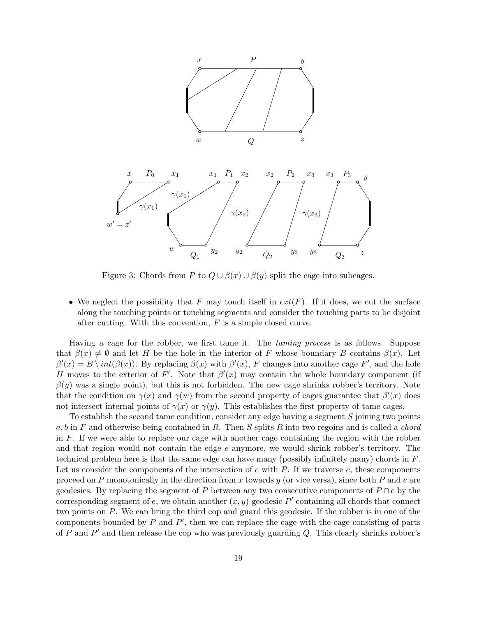

<span id="page-18-0"></span>Figure 3: Chords from P to  $Q \cup \beta(x) \cup \beta(y)$  split the cage into subcages.

• We neglect the possibility that F may touch itself in  $ext(F)$ . If it does, we cut the surface along the touching points or touching segments and consider the touching parts to be disjoint after cutting. With this convention,  $F$  is a simple closed curve.

Having a cage for the robber, we first tame it. The *taming process* is as follows. Suppose that  $\beta(x) \neq \emptyset$  and let H be the hole in the interior of F whose boundary B contains  $\beta(x)$ . Let  $\beta'(x) = B \setminus int(\beta(x))$ . By replacing  $\beta(x)$  with  $\beta'(x)$ , F changes into another cage F', and the hole H moves to the exterior of F'. Note that  $\beta'(x)$  may contain the whole boundary component (if  $\beta(y)$  was a single point), but this is not forbidden. The new cage shrinks robber's territory. Note that the condition on  $\gamma(x)$  and  $\gamma(w)$  from the second property of cages guarantee that  $\beta'(x)$  does not intersect internal points of  $\gamma(x)$  or  $\gamma(y)$ . This establishes the first property of tame cages.

To establish the second tame condition, consider any edge having a segment  $S$  joining two points a, b in F and otherwise being contained in R. Then S splits R into two regoins and is called a *chord* in F. If we were able to replace our cage with another cage containing the region with the robber and that region would not contain the edge e anymore, we would shrink robber's territory. The technical problem here is that the same edge can have many (possibly infinitely many) chords in F. Let us consider the components of the intersection of  $e$  with  $P$ . If we traverse  $e$ , these components proceed on P monotonically in the direction from x towards  $y$  (or vice versa), since both P and e are geodesics. By replacing the segment of P between any two consecutive components of  $P \cap e$  by the corresponding segment of e, we obtain another  $(x, y)$ -geodesic  $P'$  containing all chords that connect two points on P. We can bring the third cop and guard this geodesic. If the robber is in one of the components bounded by  $P$  and  $P'$ , then we can replace the cage with the cage consisting of parts of P and  $P'$  and then release the cop who was previously guarding Q. This clearly shrinks robber's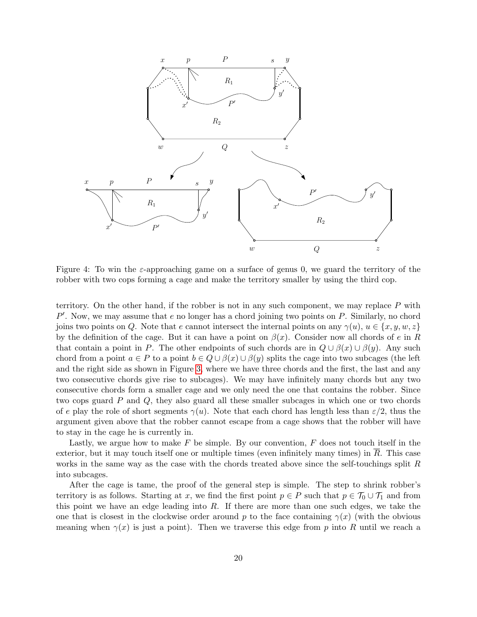

<span id="page-19-0"></span>Figure 4: To win the  $\varepsilon$ -approaching game on a surface of genus 0, we guard the territory of the robber with two cops forming a cage and make the territory smaller by using the third cop.

territory. On the other hand, if the robber is not in any such component, we may replace  $P$  with  $P'$ . Now, we may assume that  $e$  no longer has a chord joining two points on  $P$ . Similarly, no chord joins two points on Q. Note that e cannot intersect the internal points on any  $\gamma(u)$ ,  $u \in \{x, y, w, z\}$ by the definition of the cage. But it can have a point on  $\beta(x)$ . Consider now all chords of e in R that contain a point in P. The other endpoints of such chords are in  $Q \cup \beta(x) \cup \beta(y)$ . Any such chord from a point  $a \in P$  to a point  $b \in Q \cup \beta(x) \cup \beta(y)$  splits the cage into two subcages (the left and the right side as shown in Figure [3,](#page-18-0) where we have three chords and the first, the last and any two consecutive chords give rise to subcages). We may have infinitely many chords but any two consecutive chords form a smaller cage and we only need the one that contains the robber. Since two cops guard P and Q, they also guard all these smaller subcages in which one or two chords of e play the role of short segments  $\gamma(u)$ . Note that each chord has length less than  $\varepsilon/2$ , thus the argument given above that the robber cannot escape from a cage shows that the robber will have to stay in the cage he is currently in.

Lastly, we argue how to make  $F$  be simple. By our convention,  $F$  does not touch itself in the exterior, but it may touch itself one or multiple times (even infinitely many times) in  $\overline{R}$ . This case works in the same way as the case with the chords treated above since the self-touchings split R into subcages.

After the cage is tame, the proof of the general step is simple. The step to shrink robber's territory is as follows. Starting at x, we find the first point  $p \in P$  such that  $p \in \mathcal{T}_0 \cup \mathcal{T}_1$  and from this point we have an edge leading into  $R$ . If there are more than one such edges, we take the one that is closest in the clockwise order around p to the face containing  $\gamma(x)$  (with the obvious meaning when  $\gamma(x)$  is just a point). Then we traverse this edge from p into R until we reach a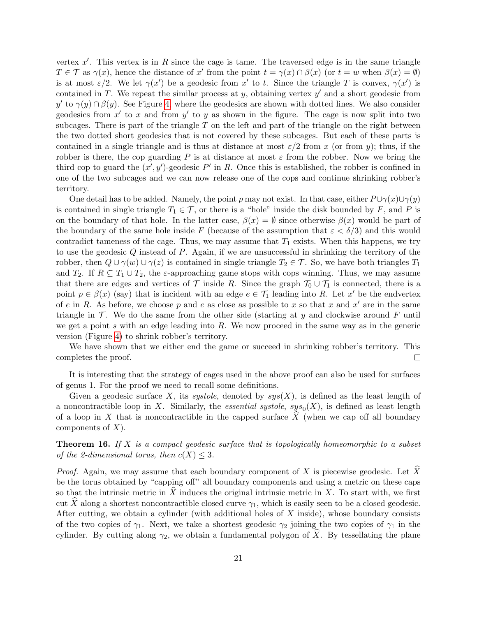vertex  $x'$ . This vertex is in R since the cage is tame. The traversed edge is in the same triangle  $T \in \mathcal{T}$  as  $\gamma(x)$ , hence the distance of x' from the point  $t = \gamma(x) \cap \beta(x)$  (or  $t = w$  when  $\beta(x) = \emptyset$ ) is at most  $\varepsilon/2$ . We let  $\gamma(x')$  be a geodesic from x' to t. Since the triangle T is convex,  $\gamma(x')$  is contained in T. We repeat the similar process at y, obtaining vertex  $y'$  and a short geodesic from y' to  $\gamma(y) \cap \beta(y)$ . See Figure [4,](#page-19-0) where the geodesics are shown with dotted lines. We also consider geodesics from  $x'$  to x and from  $y'$  to y as shown in the figure. The cage is now split into two subcages. There is part of the triangle  $T$  on the left and part of the triangle on the right between the two dotted short geodesics that is not covered by these subcages. But each of these parts is contained in a single triangle and is thus at distance at most  $\varepsilon/2$  from x (or from y); thus, if the robber is there, the cop guarding P is at distance at most  $\varepsilon$  from the robber. Now we bring the third cop to guard the  $(x', y')$ -geodesic P' in  $\overline{R}$ . Once this is established, the robber is confined in one of the two subcages and we can now release one of the cops and continue shrinking robber's territory.

One detail has to be added. Namely, the point p may not exist. In that case, either  $P\cup \gamma(x)\cup \gamma(y)$ is contained in single triangle  $T_1 \in \mathcal{T}$ , or there is a "hole" inside the disk bounded by F, and P is on the boundary of that hole. In the latter case,  $\beta(x) = \emptyset$  since otherwise  $\beta(x)$  would be part of the boundary of the same hole inside F (because of the assumption that  $\varepsilon < \delta/3$ ) and this would contradict tameness of the cage. Thus, we may assume that  $T_1$  exists. When this happens, we try to use the geodesic Q instead of P. Again, if we are unsuccessful in shrinking the territory of the robber, then  $Q \cup \gamma(w) \cup \gamma(z)$  is contained in single triangle  $T_2 \in \mathcal{T}$ . So, we have both triangles  $T_1$ and  $T_2$ . If  $R \subseteq T_1 \cup T_2$ , the  $\varepsilon$ -approaching game stops with cops winning. Thus, we may assume that there are edges and vertices of  $\mathcal T$  inside R. Since the graph  $\mathcal T_0 \cup \mathcal T_1$  is connected, there is a point  $p \in \beta(x)$  (say) that is incident with an edge  $e \in \mathcal{T}_1$  leading into R. Let x' be the endvertex of e in R. As before, we choose p and e as close as possible to x so that x and  $x'$  are in the same triangle in  $\mathcal T$ . We do the same from the other side (starting at y and clockwise around F until we get a point s with an edge leading into  $R$ . We now proceed in the same way as in the generic version (Figure [4\)](#page-19-0) to shrink robber's territory.

We have shown that we either end the game or succeed in shrinking robber's territory. This completes the proof.  $\Box$ 

It is interesting that the strategy of cages used in the above proof can also be used for surfaces of genus 1. For the proof we need to recall some definitions.

Given a geodesic surface X, its systole, denoted by  $sys(X)$ , is defined as the least length of a noncontractible loop in X. Similarly, the *essential systole, sys*<sub>0</sub> $(X)$ , is defined as least length of a loop in X that is noncontractible in the capped surface  $\tilde{X}$  (when we cap off all boundary components of  $X$ ).

<span id="page-20-0"></span>**Theorem 16.** If X is a compact geodesic surface that is topologically homeomorphic to a subset of the 2-dimensional torus, then  $c(X) \leq 3$ .

*Proof.* Again, we may assume that each boundary component of X is piecewise geodesic. Let  $\hat{X}$ be the torus obtained by "capping off" all boundary components and using a metric on these caps so that the intrinsic metric in  $\hat{X}$  induces the original intrinsic metric in X. To start with, we first cut X along a shortest noncontractible closed curve  $\gamma_1$ , which is easily seen to be a closed geodesic. After cutting, we obtain a cylinder (with additional holes of  $X$  inside), whose boundary consists of the two copies of  $\gamma_1$ . Next, we take a shortest geodesic  $\gamma_2$  joining the two copies of  $\gamma_1$  in the cylinder. By cutting along  $\gamma_2$ , we obtain a fundamental polygon of X. By tessellating the plane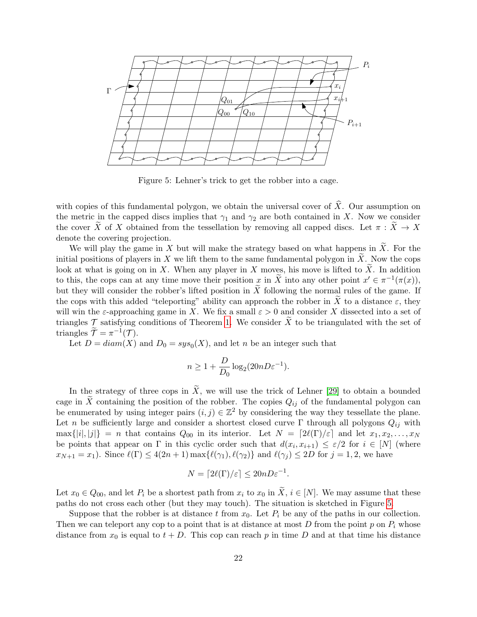

<span id="page-21-0"></span>Figure 5: Lehner's trick to get the robber into a cage.

with copies of this fundamental polygon, we obtain the universal cover of  $\hat{X}$ . Our assumption on the metric in the capped discs implies that  $\gamma_1$  and  $\gamma_2$  are both contained in X. Now we consider the cover X of X obtained from the tessellation by removing all capped discs. Let  $\pi : X \to X$ denote the covering projection.

We will play the game in X but will make the strategy based on what happens in  $\widetilde{X}$ . For the initial positions of players in X we lift them to the same fundamental polygon in  $\tilde{X}$ . Now the cops look at what is going on in X. When any player in X moves, his move is lifted to  $\tilde{X}$ . In addition to this, the cops can at any time move their position x in  $\tilde{X}$  into any other point  $x' \in \pi^{-1}(\pi(x))$ , but they will consider the robber's lifted position in  $\tilde{X}$  following the normal rules of the game. If the cops with this added "teleporting" ability can approach the robber in X to a distance  $\varepsilon$ , they will win the  $\varepsilon$ -approaching game in X. We fix a small  $\varepsilon > 0$  and consider X dissected into a set of triangles  $\mathcal T$  satisfying conditions of Theorem [1.](#page-4-0) We consider  $\tilde X$  to be triangulated with the set of triangles  $\widetilde{\mathcal{T}} = \pi^{-1}(\mathcal{T}).$ 

Let  $D = diam(X)$  and  $D_0 = sys_0(X)$ , and let n be an integer such that

$$
n \ge 1 + \frac{D}{D_0} \log_2(20nD\varepsilon^{-1}).
$$

In the strategy of three cops in  $\tilde{X}$ , we will use the trick of Lehner [\[29\]](#page-29-16) to obtain a bounded cage in  $\tilde{X}$  containing the position of the robber. The copies  $Q_{ij}$  of the fundamental polygon can be enumerated by using integer pairs  $(i, j) \in \mathbb{Z}^2$  by considering the way they tessellate the plane. Let n be sufficiently large and consider a shortest closed curve Γ through all polygons  $Q_{ij}$  with  $\max\{|i|,|j|\} = n$  that contains  $Q_{00}$  in its interior. Let  $N = \lceil 2\ell(\Gamma)/\varepsilon \rceil$  and let  $x_1, x_2, \ldots, x_N$ be points that appear on  $\Gamma$  in this cyclic order such that  $d(x_i, x_{i+1}) \leq \varepsilon/2$  for  $i \in [N]$  (where  $x_{N+1} = x_1$ ). Since  $\ell(\Gamma) \leq 4(2n+1) \max{\ell(\gamma_1), \ell(\gamma_2)}$  and  $\ell(\gamma_i) \leq 2D$  for  $j = 1, 2$ , we have

$$
N = \lceil 2\ell(\Gamma)/\varepsilon \rceil \le 20n D\varepsilon^{-1}.
$$

Let  $x_0 \in Q_{00}$ , and let  $P_i$  be a shortest path from  $x_i$  to  $x_0$  in  $\overline{X}$ ,  $i \in [N]$ . We may assume that these paths do not cross each other (but they may touch). The situation is sketched in Figure [5.](#page-21-0)

Suppose that the robber is at distance t from  $x_0$ . Let  $P_i$  be any of the paths in our collection. Then we can teleport any cop to a point that is at distance at most D from the point p on  $P_i$  whose distance from  $x_0$  is equal to  $t + D$ . This cop can reach p in time D and at that time his distance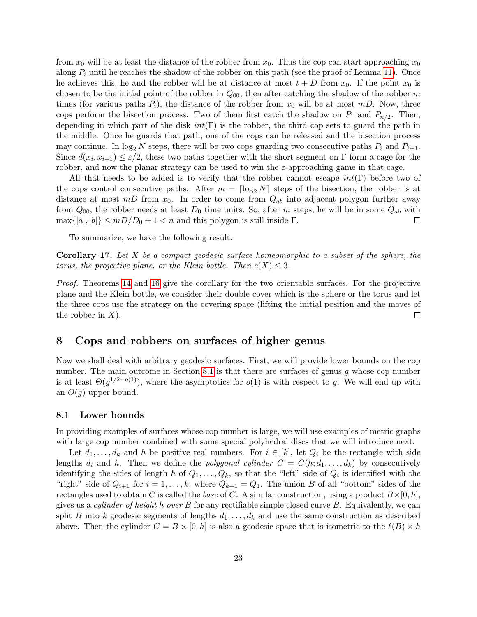from  $x_0$  will be at least the distance of the robber from  $x_0$ . Thus the cop can start approaching  $x_0$ along  $P_i$  until he reaches the shadow of the robber on this path (see the proof of Lemma [11\)](#page-11-0). Once he achieves this, he and the robber will be at distance at most  $t + D$  from  $x_0$ . If the point  $x_0$  is chosen to be the initial point of the robber in  $Q_{00}$ , then after catching the shadow of the robber m times (for various paths  $P_i$ ), the distance of the robber from  $x_0$  will be at most  $mD$ . Now, three cops perform the bisection process. Two of them first catch the shadow on  $P_1$  and  $P_{n/2}$ . Then, depending in which part of the disk  $int(\Gamma)$  is the robber, the third cop sets to guard the path in the middle. Once he guards that path, one of the cops can be released and the bisection process may continue. In  $\log_2 N$  steps, there will be two cops guarding two consecutive paths  $P_i$  and  $P_{i+1}$ . Since  $d(x_i, x_{i+1}) \leq \varepsilon/2$ , these two paths together with the short segment on  $\Gamma$  form a cage for the robber, and now the planar strategy can be used to win the  $\varepsilon$ -approaching game in that cage.

All that needs to be added is to verify that the robber cannot escape  $int(\Gamma)$  before two of the cops control consecutive paths. After  $m = \lceil \log_2 N \rceil$  steps of the bisection, the robber is at distance at most  $mD$  from  $x_0$ . In order to come from  $Q_{ab}$  into adjacent polygon further away from  $Q_{00}$ , the robber needs at least  $D_0$  time units. So, after m steps, he will be in some  $Q_{ab}$  with  $\max\{|a|, |b|\} \leq mD/D_0 + 1 < n$  and this polygon is still inside  $\Gamma$ . П

To summarize, we have the following result.

<span id="page-22-1"></span>**Corollary 17.** Let X be a compact geodesic surface homeomorphic to a subset of the sphere, the torus, the projective plane, or the Klein bottle. Then  $c(X) \leq 3$ .

Proof. Theorems [14](#page-15-0) and [16](#page-20-0) give the corollary for the two orientable surfaces. For the projective plane and the Klein bottle, we consider their double cover which is the sphere or the torus and let the three cops use the strategy on the covering space (lifting the initial position and the moves of the robber in  $X$ ).  $\Box$ 

### 8 Cops and robbers on surfaces of higher genus

Now we shall deal with arbitrary geodesic surfaces. First, we will provide lower bounds on the cop number. The main outcome in Section [8.1](#page-22-0) is that there are surfaces of genus q whose cop number is at least  $\Theta(g^{1/2-o(1)})$ , where the asymptotics for  $o(1)$  is with respect to g. We will end up with an  $O(q)$  upper bound.

### <span id="page-22-0"></span>8.1 Lower bounds

In providing examples of surfaces whose cop number is large, we will use examples of metric graphs with large cop number combined with some special polyhedral discs that we will introduce next.

Let  $d_1, \ldots, d_k$  and h be positive real numbers. For  $i \in [k]$ , let  $Q_i$  be the rectangle with side lengths  $d_i$  and h. Then we define the polygonal cylinder  $C = C(h; d_1, \ldots, d_k)$  by consecutively identifying the sides of length h of  $Q_1, \ldots, Q_k$ , so that the "left" side of  $Q_i$  is identified with the "right" side of  $Q_{i+1}$  for  $i = 1, ..., k$ , where  $Q_{k+1} = Q_1$ . The union B of all "bottom" sides of the rectangles used to obtain C is called the base of C. A similar construction, using a product  $B\times[0,h]$ , gives us a *cylinder of height h over B* for any rectifiable simple closed curve  $B$ . Equivalently, we can split B into k geodesic segments of lengths  $d_1, \ldots, d_k$  and use the same construction as described above. Then the cylinder  $C = B \times [0, h]$  is also a geodesic space that is isometric to the  $\ell(B) \times h$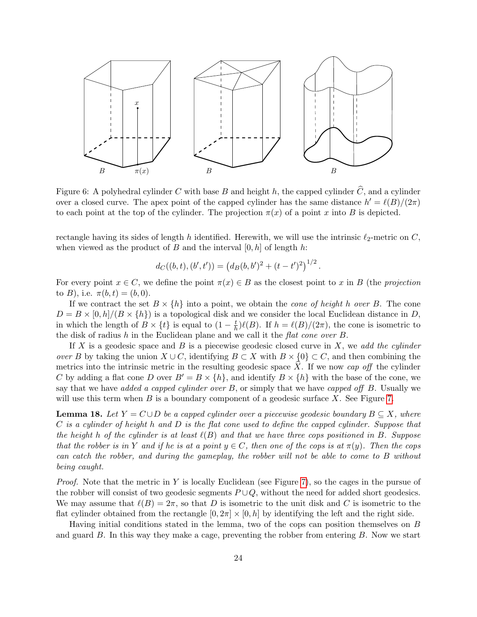

Figure 6: A polyhedral cylinder C with base B and height h, the capped cylinder  $\widehat{C}$ , and a cylinder over a closed curve. The apex point of the capped cylinder has the same distance  $h' = \ell(B)/(2\pi)$ to each point at the top of the cylinder. The projection  $\pi(x)$  of a point x into B is depicted.

rectangle having its sides of length h identified. Herewith, we will use the intrinsic  $\ell_2$ -metric on C, when viewed as the product of B and the interval  $[0, h]$  of length h:

$$
d_C((b, t), (b', t')) = (d_B(b, b')^{2} + (t - t')^{2})^{1/2}.
$$

For every point  $x \in C$ , we define the point  $\pi(x) \in B$  as the closest point to x in B (the projection to B), i.e.  $\pi(b, t) = (b, 0)$ .

If we contract the set  $B \times \{h\}$  into a point, we obtain the *cone of height h over B*. The cone  $D = B \times [0, h]/(B \times \{h\})$  is a topological disk and we consider the local Euclidean distance in D, in which the length of  $B \times \{t\}$  is equal to  $(1 - \frac{t}{b})$  $\frac{t}{h}$ ) $\ell(B)$ . If  $h = \ell(B)/(2\pi)$ , the cone is isometric to the disk of radius h in the Euclidean plane and we call it the flat cone over  $B$ .

If X is a geodesic space and B is a piecewise geodesic closed curve in X, we add the cylinder over B by taking the union  $X \cup C$ , identifying  $B \subset X$  with  $B \times \{0\} \subset C$ , and then combining the metrics into the intrinsic metric in the resulting geodesic space  $X$ . If we now cap off the cylinder C by adding a flat cone D over  $B' = B \times \{h\}$ , and identify  $B \times \{h\}$  with the base of the cone, we say that we have added a capped cylinder over  $B$ , or simply that we have capped off  $B$ . Usually we will use this term when  $B$  is a boundary component of a geodesic surface  $X$ . See Figure [7.](#page-24-0)

<span id="page-23-0"></span>**Lemma 18.** Let  $Y = C \cup D$  be a capped cylinder over a piecewise geodesic boundary  $B \subseteq X$ , where  $C$  is a cylinder of height h and  $D$  is the flat cone used to define the capped cylinder. Suppose that the height h of the cylinder is at least  $\ell(B)$  and that we have three cops positioned in B. Suppose that the robber is in Y and if he is at a point  $y \in C$ , then one of the cops is at  $\pi(y)$ . Then the cops can catch the robber, and during the gameplay, the robber will not be able to come to B without being caught.

*Proof.* Note that the metric in Y is locally Euclidean (see Figure [7\)](#page-24-0), so the cages in the pursue of the robber will consist of two geodesic segments  $P\cup Q$ , without the need for added short geodesics. We may assume that  $\ell(B) = 2\pi$ , so that D is isometric to the unit disk and C is isometric to the flat cylinder obtained from the rectangle  $[0, 2\pi] \times [0, h]$  by identifying the left and the right side.

Having initial conditions stated in the lemma, two of the cops can position themselves on B and guard  $B$ . In this way they make a cage, preventing the robber from entering  $B$ . Now we start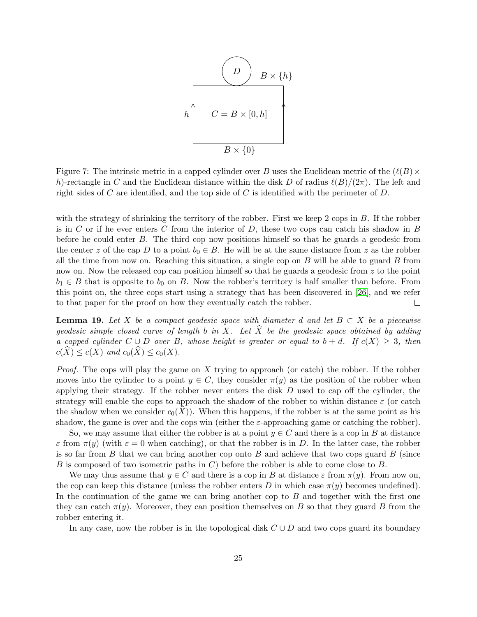$$
h \n\begin{array}{c}\n\begin{array}{c}\n\begin{array}{c}\n\end{array} \\
\hline\nC = B \times [0, h] \\
\hline\nB \times \{0\}\n\end{array}
$$

<span id="page-24-0"></span>Figure 7: The intrinsic metric in a capped cylinder over B uses the Euclidean metric of the  $(\ell(B) \times$ h)-rectangle in C and the Euclidean distance within the disk D of radius  $\ell(B)/(2\pi)$ . The left and right sides of C are identified, and the top side of C is identified with the perimeter of  $D$ .

with the strategy of shrinking the territory of the robber. First we keep 2 cops in B. If the robber is in C or if he ever enters C from the interior of D, these two cops can catch his shadow in B before he could enter B. The third cop now positions himself so that he guards a geodesic from the center z of the cap D to a point  $b_0 \in B$ . He will be at the same distance from z as the robber all the time from now on. Reaching this situation, a single cop on  $B$  will be able to guard  $B$  from now on. Now the released cop can position himself so that he guards a geodesic from  $z$  to the point  $b_1 \in B$  that is opposite to  $b_0$  on B. Now the robber's territory is half smaller than before. From this point on, the three cops start using a strategy that has been discovered in [\[26\]](#page-29-14), and we refer to that paper for the proof on how they eventually catch the robber.  $\Box$ 

<span id="page-24-1"></span>**Lemma 19.** Let X be a compact geodesic space with diameter d and let  $B \subset X$  be a piecewise geodesic simple closed curve of length b in X. Let  $\hat{X}$  be the geodesic space obtained by adding a capped cylinder  $C \cup D$  over B, whose height is greater or equal to  $b + d$ . If  $c(X) \geq 3$ , then  $c(\hat{X}) \leq c(X)$  and  $c_0(\hat{X}) \leq c_0(X)$ .

*Proof.* The cops will play the game on X trying to approach (or catch) the robber. If the robber moves into the cylinder to a point  $y \in C$ , they consider  $\pi(y)$  as the position of the robber when applying their strategy. If the robber never enters the disk  $D$  used to cap off the cylinder, the strategy will enable the cops to approach the shadow of the robber to within distance  $\varepsilon$  (or catch the shadow when we consider  $c_0(X)$ ). When this happens, if the robber is at the same point as his shadow, the game is over and the cops win (either the  $\varepsilon$ -approaching game or catching the robber).

So, we may assume that either the robber is at a point  $y \in C$  and there is a cop in B at distance  $\varepsilon$  from  $\pi(y)$  (with  $\varepsilon = 0$  when catching), or that the robber is in D. In the latter case, the robber is so far from  $B$  that we can bring another cop onto  $B$  and achieve that two cops guard  $B$  (since B is composed of two isometric paths in  $C$ ) before the robber is able to come close to B.

We may thus assume that  $y \in C$  and there is a cop in B at distance  $\varepsilon$  from  $\pi(y)$ . From now on, the cop can keep this distance (unless the robber enters D in which case  $\pi(y)$  becomes undefined). In the continuation of the game we can bring another cop to  $B$  and together with the first one they can catch  $\pi(y)$ . Moreover, they can position themselves on B so that they guard B from the robber entering it.

In any case, now the robber is in the topological disk  $C \cup D$  and two cops guard its boundary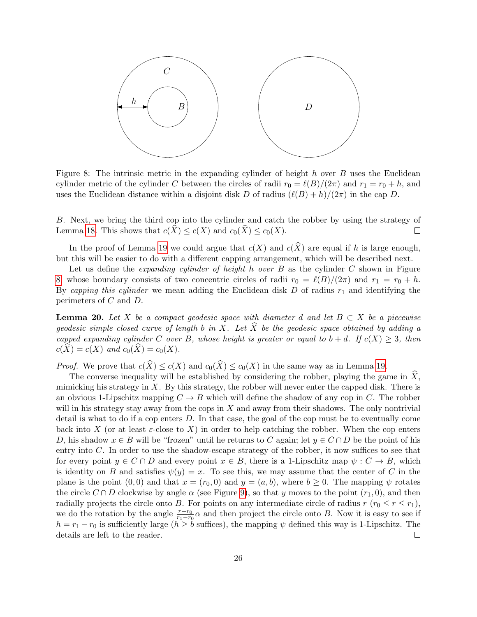

<span id="page-25-0"></span>Figure 8: The intrinsic metric in the expanding cylinder of height h over  $B$  uses the Euclidean cylinder metric of the cylinder C between the circles of radii  $r_0 = \ell(B)/(2\pi)$  and  $r_1 = r_0 + h$ , and uses the Euclidean distance within a disjoint disk D of radius  $(\ell(B) + h)/(2\pi)$  in the cap D.

B. Next, we bring the third cop into the cylinder and catch the robber by using the strategy of Lemma [18.](#page-23-0) This shows that  $c(\widehat{X}) \leq c(X)$  and  $c_0(\widehat{X}) \leq c_0(X)$ .  $\Box$ 

In the proof of Lemma [19](#page-24-1) we could argue that  $c(X)$  and  $c(\hat{X})$  are equal if h is large enough, but this will be easier to do with a different capping arrangement, which will be described next.

Let us define the *expanding cylinder of height h over B* as the cylinder  $C$  shown in Figure [8,](#page-25-0) whose boundary consists of two concentric circles of radii  $r_0 = \ell(B)/(2\pi)$  and  $r_1 = r_0 + h$ . By capping this cylinder we mean adding the Euclidean disk  $D$  of radius  $r_1$  and identifying the perimeters of C and D.

<span id="page-25-1"></span>**Lemma 20.** Let X be a compact geodesic space with diameter d and let  $B \subset X$  be a piecewise geodesic simple closed curve of length b in X. Let  $\tilde{X}$  be the geodesic space obtained by adding a capped expanding cylinder C over B, whose height is greater or equal to  $b + d$ . If  $c(X) \geq 3$ , then  $c(\widehat{X}) = c(X)$  and  $c_0(\widehat{X}) = c_0(X)$ .

*Proof.* We prove that  $c(\widehat{X}) \leq c(X)$  and  $c_0(\widehat{X}) \leq c_0(X)$  in the same way as in Lemma [19.](#page-24-1)

The converse inequality will be established by considering the robber, playing the game in  $\hat{X}$ , mimicking his strategy in  $X$ . By this strategy, the robber will never enter the capped disk. There is an obvious 1-Lipschitz mapping  $C \rightarrow B$  which will define the shadow of any cop in C. The robber will in his strategy stay away from the cops in  $X$  and away from their shadows. The only nontrivial detail is what to do if a cop enters  $D$ . In that case, the goal of the cop must be to eventually come back into X (or at least  $\varepsilon$ -close to X) in order to help catching the robber. When the cop enters D, his shadow  $x \in B$  will be "frozen" until he returns to C again; let  $y \in C \cap D$  be the point of his entry into C. In order to use the shadow-escape strategy of the robber, it now suffices to see that for every point  $y \in C \cap D$  and every point  $x \in B$ , there is a 1-Lipschitz map  $\psi : C \to B$ , which is identity on B and satisfies  $\psi(y) = x$ . To see this, we may assume that the center of C in the plane is the point  $(0,0)$  and that  $x = (r_0, 0)$  and  $y = (a, b)$ , where  $b \ge 0$ . The mapping  $\psi$  rotates the circle  $C \cap D$  clockwise by angle  $\alpha$  (see Figure [9\)](#page-26-0), so that y moves to the point  $(r_1, 0)$ , and then radially projects the circle onto B. For points on any intermediate circle of radius  $r (r_0 \leq r \leq r_1)$ , we do the rotation by the angle  $\frac{r-r_0}{r_1-r_0}\alpha$  and then project the circle onto B. Now it is easy to see if  $h = r_1 - r_0$  is sufficiently large  $(h \ge b$  suffices), the mapping  $\psi$  defined this way is 1-Lipschitz. The details are left to the reader.  $\Box$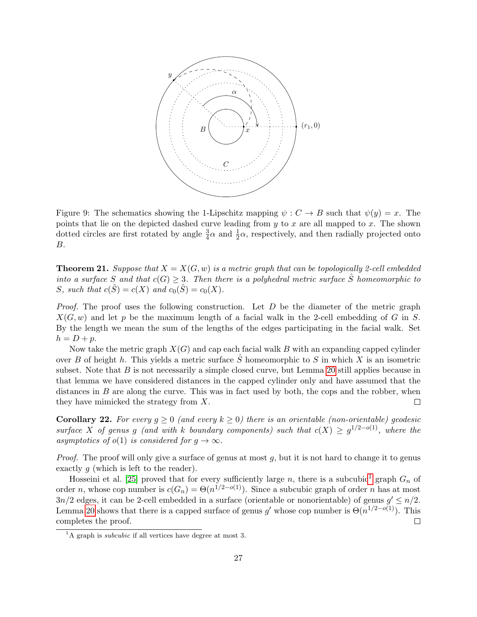

<span id="page-26-0"></span>Figure 9: The schematics showing the 1-Lipschitz mapping  $\psi : C \to B$  such that  $\psi(y) = x$ . The points that lie on the depicted dashed curve leading from  $y$  to  $x$  are all mapped to  $x$ . The shown dotted circles are first rotated by angle  $\frac{3}{4}\alpha$  and  $\frac{1}{2}\alpha$ , respectively, and then radially projected onto B.

**Theorem 21.** Suppose that  $X = X(G, w)$  is a metric graph that can be topologically 2-cell embedded into a surface S and that  $c(G) \geq 3$ . Then there is a polyhedral metric surface  $\hat{S}$  homeomorphic to S, such that  $c(\hat{S}) = c(X)$  and  $c_0(\hat{S}) = c_0(X)$ .

*Proof.* The proof uses the following construction. Let  $D$  be the diameter of the metric graph  $X(G, w)$  and let p be the maximum length of a facial walk in the 2-cell embedding of G in S. By the length we mean the sum of the lengths of the edges participating in the facial walk. Set  $h = D + p$ .

Now take the metric graph  $X(G)$  and cap each facial walk B with an expanding capped cylinder over B of height h. This yields a metric surface  $\hat{S}$  homeomorphic to S in which X is an isometric subset. Note that  $B$  is not necessarily a simple closed curve, but Lemma [20](#page-25-1) still applies because in that lemma we have considered distances in the capped cylinder only and have assumed that the distances in  $B$  are along the curve. This was in fact used by both, the cops and the robber, when they have mimicked the strategy from X.  $\Box$ 

<span id="page-26-2"></span>**Corollary 22.** For every  $g \ge 0$  (and every  $k \ge 0$ ) there is an orientable (non-orientable) geodesic surface X of genus g (and with k boundary components) such that  $c(X) \geq g^{1/2-o(1)}$ , where the asymptotics of  $o(1)$  is considered for  $g \to \infty$ .

*Proof.* The proof will only give a surface of genus at most  $q$ , but it is not hard to change it to genus exactly g (which is left to the reader).

Hosseini et al. [\[25\]](#page-29-17) proved that for every sufficiently large n, there is a subcubic<sup>[1](#page-26-1)</sup> graph  $G_n$  of order *n*, whose cop number is  $c(G_n) = \Theta(n^{1/2-o(1)})$ . Since a subcubic graph of order *n* has at most  $3n/2$  edges, it can be 2-cell embedded in a surface (orientable or nonorientable) of genus  $g' \leq n/2$ . Lemma [20](#page-25-1) shows that there is a capped surface of genus g' whose cop number is  $\Theta(n^{1/2-o(1)})$ . This completes the proof.  $\Box$ 

<span id="page-26-1"></span> ${}^{1}$ A graph is *subcubic* if all vertices have degree at most 3.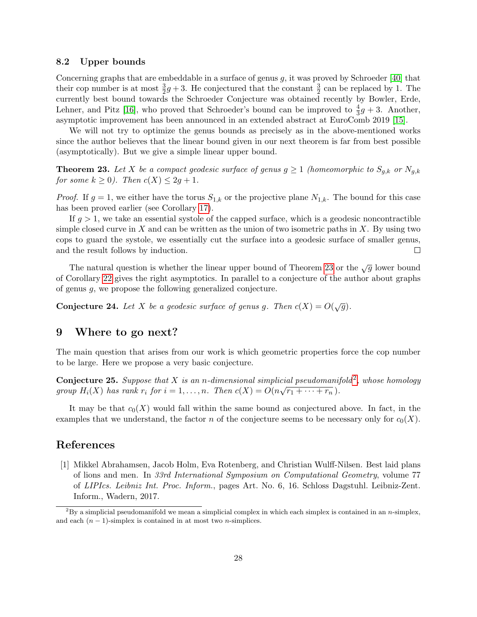### 8.2 Upper bounds

Concerning graphs that are embeddable in a surface of genus  $g$ , it was proved by Schroeder [\[40\]](#page-30-5) that their cop number is at most  $\frac{3}{2}g + 3$ . He conjectured that the constant  $\frac{3}{2}$  can be replaced by 1. The currently best bound towards the Schroeder Conjecture was obtained recently by Bowler, Erde, Lehner, and Pitz [\[16\]](#page-28-14), who proved that Schroeder's bound can be improved to  $\frac{4}{3}g + 3$ . Another, asymptotic improvement has been announced in an extended abstract at EuroComb 2019 [\[15\]](#page-28-15).

We will not try to optimize the genus bounds as precisely as in the above-mentioned works since the author believes that the linear bound given in our next theorem is far from best possible (asymptotically). But we give a simple linear upper bound.

<span id="page-27-1"></span>**Theorem 23.** Let X be a compact geodesic surface of genus  $g \ge 1$  (homeomorphic to  $S_{g,k}$  or  $N_{g,k}$ for some  $k \geq 0$ ). Then  $c(X) \leq 2g + 1$ .

*Proof.* If  $g = 1$ , we either have the torus  $S_{1,k}$  or the projective plane  $N_{1,k}$ . The bound for this case has been proved earlier (see Corollary [17\)](#page-22-1).

If  $g > 1$ , we take an essential systole of the capped surface, which is a geodesic noncontractible simple closed curve in  $X$  and can be written as the union of two isometric paths in  $X$ . By using two cops to guard the systole, we essentially cut the surface into a geodesic surface of smaller genus, and the result follows by induction.  $\Box$ 

The natural question is whether the linear upper bound of Theorem [23](#page-27-1) or the  $\sqrt{g}$  lower bound of Corollary [22](#page-26-2) gives the right asymptotics. In parallel to a conjecture of the author about graphs of genus g, we propose the following generalized conjecture.

**Conjecture 24.** Let X be a geodesic surface of genus g. Then  $c(X) = O(\sqrt{g})$ .

# 9 Where to go next?

The main question that arises from our work is which geometric properties force the cop number to be large. Here we propose a very basic conjecture.

**Conjecture [2](#page-27-2)5.** Suppose that X is an n-dimensional simplicial pseudomanifold<sup>2</sup>, whose homology group  $H_i(X)$  has rank  $r_i$  for  $i = 1, \ldots, n$ . Then  $c(X) = O(n)$  $\frac{1}{\sqrt{r_1 + \cdots + r_n}}$ .

It may be that  $c_0(X)$  would fall within the same bound as conjectured above. In fact, in the examples that we understand, the factor n of the conjecture seems to be necessary only for  $c_0(X)$ .

# References

<span id="page-27-0"></span>[1] Mikkel Abrahamsen, Jacob Holm, Eva Rotenberg, and Christian Wulff-Nilsen. Best laid plans of lions and men. In 33rd International Symposium on Computational Geometry, volume 77 of LIPIcs. Leibniz Int. Proc. Inform., pages Art. No. 6, 16. Schloss Dagstuhl. Leibniz-Zent. Inform., Wadern, 2017.

<span id="page-27-2"></span> ${}^{2}$ By a simplicial pseudomanifold we mean a simplicial complex in which each simplex is contained in an n-simplex, and each  $(n - 1)$ -simplex is contained in at most two *n*-simplices.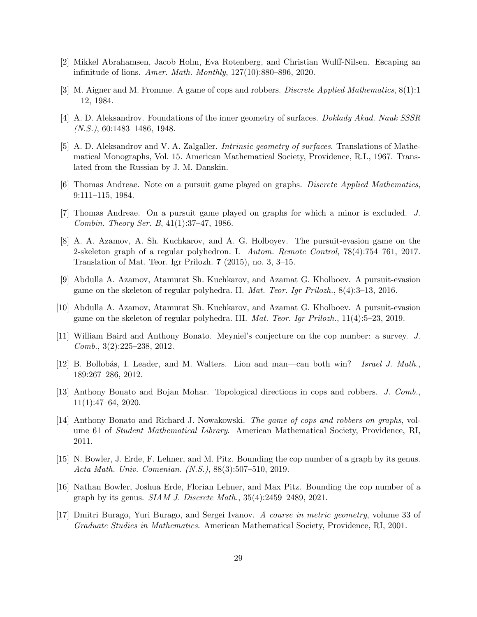- <span id="page-28-7"></span>[2] Mikkel Abrahamsen, Jacob Holm, Eva Rotenberg, and Christian Wulff-Nilsen. Escaping an infinitude of lions. Amer. Math. Monthly, 127(10):880–896, 2020.
- <span id="page-28-1"></span>[3] M. Aigner and M. Fromme. A game of cops and robbers. Discrete Applied Mathematics, 8(1):1  $-12, 1984.$
- <span id="page-28-13"></span>[4] A. D. Aleksandrov. Foundations of the inner geometry of surfaces. Doklady Akad. Nauk SSSR  $(N.S.), 60:1483-1486, 1948.$
- <span id="page-28-12"></span>[5] A. D. Aleksandrov and V. A. Zalgaller. Intrinsic geometry of surfaces. Translations of Mathematical Monographs, Vol. 15. American Mathematical Society, Providence, R.I., 1967. Translated from the Russian by J. M. Danskin.
- <span id="page-28-2"></span>[6] Thomas Andreae. Note on a pursuit game played on graphs. Discrete Applied Mathematics, 9:111–115, 1984.
- <span id="page-28-3"></span>[7] Thomas Andreae. On a pursuit game played on graphs for which a minor is excluded. J. Combin. Theory Ser. B, 41(1):37–47, 1986.
- <span id="page-28-8"></span>[8] A. A. Azamov, A. Sh. Kuchkarov, and A. G. Holboyev. The pursuit-evasion game on the 2-skeleton graph of a regular polyhedron. I. Autom. Remote Control, 78(4):754–761, 2017. Translation of Mat. Teor. Igr Prilozh. 7 (2015), no. 3, 3–15.
- <span id="page-28-9"></span>[9] Abdulla A. Azamov, Atamurat Sh. Kuchkarov, and Azamat G. Kholboev. A pursuit-evasion game on the skeleton of regular polyhedra. II. Mat. Teor. Igr Prilozh., 8(4):3–13, 2016.
- <span id="page-28-10"></span>[10] Abdulla A. Azamov, Atamurat Sh. Kuchkarov, and Azamat G. Kholboev. A pursuit-evasion game on the skeleton of regular polyhedra. III. Mat. Teor. Igr Prilozh., 11(4):5–23, 2019.
- <span id="page-28-6"></span>[11] William Baird and Anthony Bonato. Meyniel's conjecture on the cop number: a survey. J. Comb., 3(2):225–238, 2012.
- <span id="page-28-0"></span>[12] B. Bollobás, I. Leader, and M. Walters. Lion and man—can both win? Israel J. Math., 189:267–286, 2012.
- <span id="page-28-5"></span>[13] Anthony Bonato and Bojan Mohar. Topological directions in cops and robbers. J. Comb., 11(1):47–64, 2020.
- <span id="page-28-4"></span>[14] Anthony Bonato and Richard J. Nowakowski. The game of cops and robbers on graphs, volume 61 of Student Mathematical Library. American Mathematical Society, Providence, RI, 2011.
- <span id="page-28-15"></span>[15] N. Bowler, J. Erde, F. Lehner, and M. Pitz. Bounding the cop number of a graph by its genus. Acta Math. Univ. Comenian. (N.S.), 88(3):507–510, 2019.
- <span id="page-28-14"></span>[16] Nathan Bowler, Joshua Erde, Florian Lehner, and Max Pitz. Bounding the cop number of a graph by its genus. SIAM J. Discrete Math., 35(4):2459–2489, 2021.
- <span id="page-28-11"></span>[17] Dmitri Burago, Yuri Burago, and Sergei Ivanov. A course in metric geometry, volume 33 of Graduate Studies in Mathematics. American Mathematical Society, Providence, RI, 2001.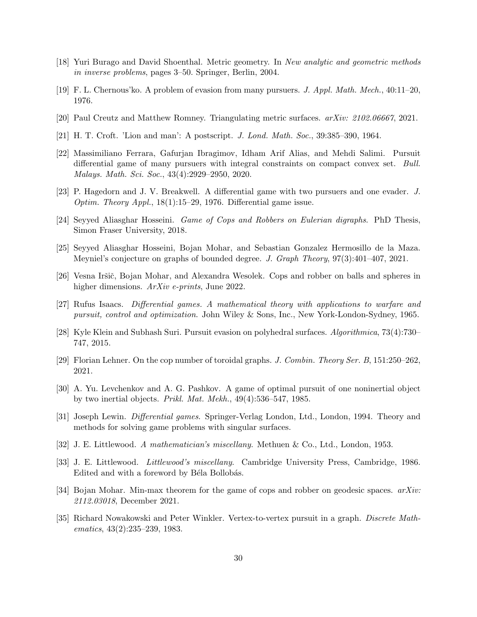- <span id="page-29-12"></span>[18] Yuri Burago and David Shoenthal. Metric geometry. In New analytic and geometric methods in inverse problems, pages 3–50. Springer, Berlin, 2004.
- <span id="page-29-4"></span>[19] F. L. Chernous'ko. A problem of evasion from many pursuers. J. Appl. Math. Mech., 40:11–20, 1976.
- <span id="page-29-13"></span>[20] Paul Creutz and Matthew Romney. Triangulating metric surfaces. arXiv: 2102.06667, 2021.
- <span id="page-29-10"></span>[21] H. T. Croft. 'Lion and man': A postscript. J. Lond. Math. Soc., 39:385–390, 1964.
- <span id="page-29-6"></span>[22] Massimiliano Ferrara, Gafurjan Ibragimov, Idham Arif Alias, and Mehdi Salimi. Pursuit differential game of many pursuers with integral constraints on compact convex set. Bull. Malays. Math. Sci. Soc., 43(4):2929–2950, 2020.
- <span id="page-29-3"></span>[23] P. Hagedorn and J. V. Breakwell. A differential game with two pursuers and one evader. J. *Optim. Theory Appl.*,  $18(1):15-29$ , 1976. Differential game issue.
- <span id="page-29-15"></span>[24] Seyyed Aliasghar Hosseini. Game of Cops and Robbers on Eulerian digraphs. PhD Thesis, Simon Fraser University, 2018.
- <span id="page-29-17"></span>[25] Seyyed Aliasghar Hosseini, Bojan Mohar, and Sebastian Gonzalez Hermosillo de la Maza. Meyniel's conjecture on graphs of bounded degree. J. Graph Theory, 97(3):401–407, 2021.
- <span id="page-29-14"></span>[26] Vesna Iršič, Bojan Mohar, and Alexandra Wesolek. Cops and robber on balls and spheres in higher dimensions. ArXiv e-prints, June 2022.
- <span id="page-29-1"></span>[27] Rufus Isaacs. Differential games. A mathematical theory with applications to warfare and pursuit, control and optimization. John Wiley & Sons, Inc., New York-London-Sydney, 1965.
- <span id="page-29-11"></span>[28] Kyle Klein and Subhash Suri. Pursuit evasion on polyhedral surfaces. Algorithmica, 73(4):730– 747, 2015.
- <span id="page-29-16"></span>[29] Florian Lehner. On the cop number of toroidal graphs. J. Combin. Theory Ser. B, 151:250–262, 2021.
- <span id="page-29-5"></span>[30] A. Yu. Levchenkov and A. G. Pashkov. A game of optimal pursuit of one noninertial object by two inertial objects. Prikl. Mat. Mekh., 49(4):536–547, 1985.
- <span id="page-29-2"></span>[31] Joseph Lewin. Differential games. Springer-Verlag London, Ltd., London, 1994. Theory and methods for solving game problems with singular surfaces.
- <span id="page-29-8"></span>[32] J. E. Littlewood. A mathematician's miscellany. Methuen & Co., Ltd., London, 1953.
- <span id="page-29-9"></span>[33] J. E. Littlewood. Littlewood's miscellany. Cambridge University Press, Cambridge, 1986. Edited and with a foreword by Béla Bollobás.
- <span id="page-29-0"></span>[34] Bojan Mohar. Min-max theorem for the game of cops and robber on geodesic spaces.  $arXiv$ : 2112.03018, December 2021.
- <span id="page-29-7"></span>[35] Richard Nowakowski and Peter Winkler. Vertex-to-vertex pursuit in a graph. Discrete Mathematics, 43(2):235–239, 1983.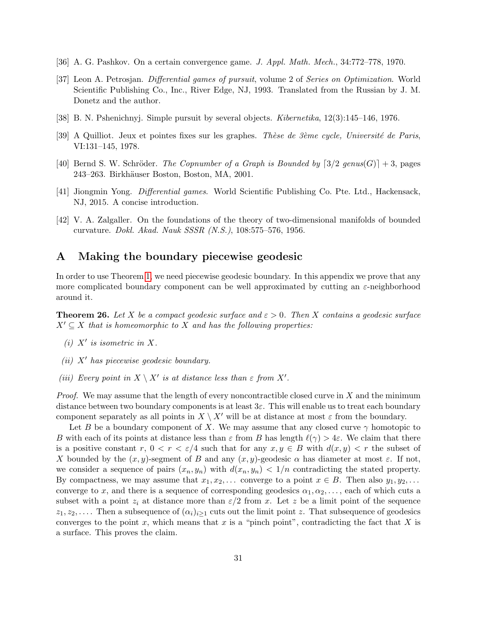- <span id="page-30-1"></span>[36] A. G. Pashkov. On a certain convergence game. J. Appl. Math. Mech., 34:772–778, 1970.
- <span id="page-30-2"></span>[37] Leon A. Petrosjan. Differential games of pursuit, volume 2 of Series on Optimization. World Scientific Publishing Co., Inc., River Edge, NJ, 1993. Translated from the Russian by J. M. Donetz and the author.
- <span id="page-30-3"></span>[38] B. N. Pshenichnyj. Simple pursuit by several objects. Kibernetika, 12(3):145–146, 1976.
- <span id="page-30-4"></span>[39] A Quilliot. Jeux et pointes fixes sur les graphes. Thèse de  $3\text{e}$ me cycle, Université de Paris, VI:131–145, 1978.
- <span id="page-30-5"></span>[40] Bernd S. W. Schröder. The Copnumber of a Graph is Bounded by  $[3/2 \text{ genus}(G)] + 3$ , pages 243–263. Birkh¨auser Boston, Boston, MA, 2001.
- <span id="page-30-0"></span>[41] Jiongmin Yong. Differential games. World Scientific Publishing Co. Pte. Ltd., Hackensack, NJ, 2015. A concise introduction.
- <span id="page-30-6"></span>[42] V. A. Zalgaller. On the foundations of the theory of two-dimensional manifolds of bounded curvature. Dokl. Akad. Nauk SSSR (N.S.), 108:575–576, 1956.

# A Making the boundary piecewise geodesic

In order to use Theorem [1,](#page-4-0) we need piecewise geodesic boundary. In this appendix we prove that any more complicated boundary component can be well approximated by cutting an  $\varepsilon$ -neighborhood around it.

<span id="page-30-7"></span>**Theorem 26.** Let X be a compact geodesic surface and  $\varepsilon > 0$ . Then X contains a geodesic surface  $X' \subseteq X$  that is homeomorphic to X and has the following properties:

- (i)  $X'$  is isometric in X.
- (ii)  $X'$  has piecewise geodesic boundary.
- (iii) Every point in  $X \setminus X'$  is at distance less than  $\varepsilon$  from  $X'$ .

*Proof.* We may assume that the length of every noncontractible closed curve in  $X$  and the minimum distance between two boundary components is at least  $3\varepsilon$ . This will enable us to treat each boundary component separately as all points in  $X \setminus X'$  will be at distance at most  $\varepsilon$  from the boundary.

Let B be a boundary component of X. We may assume that any closed curve  $\gamma$  homotopic to B with each of its points at distance less than  $\varepsilon$  from B has length  $\ell(\gamma) > 4\varepsilon$ . We claim that there is a positive constant r,  $0 < r < \varepsilon/4$  such that for any  $x, y \in B$  with  $d(x, y) < r$  the subset of X bounded by the  $(x, y)$ -segment of B and any  $(x, y)$ -geodesic  $\alpha$  has diameter at most  $\varepsilon$ . If not, we consider a sequence of pairs  $(x_n, y_n)$  with  $d(x_n, y_n) < 1/n$  contradicting the stated property. By compactness, we may assume that  $x_1, x_2, \ldots$  converge to a point  $x \in B$ . Then also  $y_1, y_2, \ldots$ converge to x, and there is a sequence of corresponding geodesics  $\alpha_1, \alpha_2, \ldots$ , each of which cuts a subset with a point  $z_i$  at distance more than  $\varepsilon/2$  from x. Let z be a limit point of the sequence  $z_1, z_2, \ldots$ . Then a subsequence of  $(\alpha_i)_{i\geq 1}$  cuts out the limit point z. That subsequence of geodesics converges to the point x, which means that x is a "pinch point", contradicting the fact that X is a surface. This proves the claim.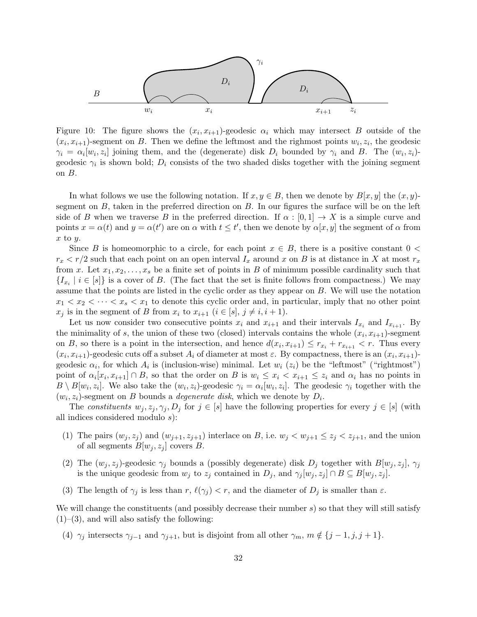

Figure 10: The figure shows the  $(x_i, x_{i+1})$ -geodesic  $\alpha_i$  which may intersect B outside of the  $(x_i, x_{i+1})$ -segment on B. Then we define the leftmost and the righmost points  $w_i, z_i$ , the geodesic  $\gamma_i = \alpha_i[w_i, z_i]$  joining them, and the (degenerate) disk  $D_i$  bounded by  $\gamma_i$  and B. The  $(w_i, z_i)$ geodesic  $\gamma_i$  is shown bold;  $D_i$  consists of the two shaded disks together with the joining segment on B.

In what follows we use the following notation. If  $x, y \in B$ , then we denote by  $B[x, y]$  the  $(x, y)$ segment on  $B$ , taken in the preferred direction on  $B$ . In our figures the surface will be on the left side of B when we traverse B in the preferred direction. If  $\alpha : [0,1] \to X$  is a simple curve and points  $x = \alpha(t)$  and  $y = \alpha(t')$  are on  $\alpha$  with  $t \leq t'$ , then we denote by  $\alpha[x, y]$  the segment of  $\alpha$  from  $x$  to  $y$ .

Since B is homeomorphic to a circle, for each point  $x \in B$ , there is a positive constant  $0 <$  $r_x < r/2$  such that each point on an open interval  $I_x$  around x on B is at distance in X at most  $r_x$ from x. Let  $x_1, x_2, \ldots, x_s$  be a finite set of points in B of minimum possible cardinality such that  ${I_{x_i} \mid i \in [s]}$  is a cover of B. (The fact that the set is finite follows from compactness.) We may assume that the points are listed in the cyclic order as they appear on B. We will use the notation  $x_1 < x_2 < \cdots < x_s < x_1$  to denote this cyclic order and, in particular, imply that no other point  $x_j$  is in the segment of B from  $x_i$  to  $x_{i+1}$   $(i \in [s], j \neq i, i+1)$ .

Let us now consider two consecutive points  $x_i$  and  $x_{i+1}$  and their intervals  $I_{x_i}$  and  $I_{x_{i+1}}$ . By the minimality of s, the union of these two (closed) intervals contains the whole  $(x_i, x_{i+1})$ -segment on B, so there is a point in the intersection, and hence  $d(x_i, x_{i+1}) \leq r_{x_i} + r_{x_{i+1}} < r$ . Thus every  $(x_i, x_{i+1})$ -geodesic cuts off a subset  $A_i$  of diameter at most  $\varepsilon$ . By compactness, there is an  $(x_i, x_{i+1})$ geodesic  $\alpha_i$ , for which  $A_i$  is (inclusion-wise) minimal. Let  $w_i$  ( $z_i$ ) be the "leftmost" ("rightmost") point of  $\alpha_i[x_i, x_{i+1}] \cap B$ , so that the order on B is  $w_i \leq x_i < x_{i+1} \leq z_i$  and  $\alpha_i$  has no points in  $B \setminus B[w_i, z_i]$ . We also take the  $(w_i, z_i)$ -geodesic  $\gamma_i = \alpha_i[w_i, z_i]$ . The geodesic  $\gamma_i$  together with the  $(w_i, z_i)$ -segment on B bounds a *degenerate disk*, which we denote by  $D_i$ .

The constituents  $w_j, z_j, \gamma_j, D_j$  for  $j \in [s]$  have the following properties for every  $j \in [s]$  (with all indices considered modulo s):

- (1) The pairs  $(w_j, z_j)$  and  $(w_{j+1}, z_{j+1})$  interlace on B, i.e.  $w_j < w_{j+1} \leq z_j < z_{j+1}$ , and the union of all segments  $B[w_i, z_i]$  covers B.
- (2) The  $(w_i, z_j)$ -geodesic  $\gamma_i$  bounds a (possibly degenerate) disk  $D_i$  together with  $B[w_i, z_j]$ ,  $\gamma_i$ is the unique geodesic from  $w_j$  to  $z_j$  contained in  $D_j$ , and  $\gamma_j[w_j, z_j] \cap B \subseteq B[w_j, z_j]$ .
- (3) The length of  $\gamma_j$  is less than r,  $\ell(\gamma_j) < r$ , and the diameter of  $D_j$  is smaller than  $\varepsilon$ .

We will change the constituents (and possibly decrease their number  $s$ ) so that they will still satisfy  $(1)$ – $(3)$ , and will also satisfy the following:

(4)  $\gamma_j$  intersects  $\gamma_{j-1}$  and  $\gamma_{j+1}$ , but is disjoint from all other  $\gamma_m$ ,  $m \notin \{j-1, j, j+1\}$ .